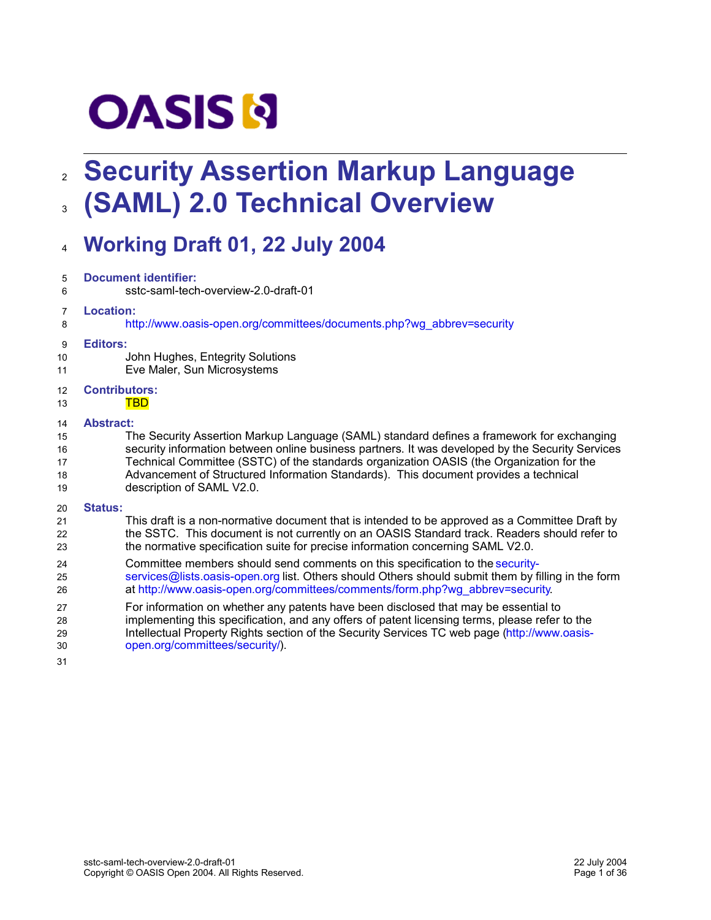# **OASIS N**

## **Security Assertion Markup Language** 2 **(SAML) 2.0 Technical Overview** 3

## **Working Draft 01, 22 July 2004** 4

| 5  | <b>Document identifier:</b>                                                                        |  |  |
|----|----------------------------------------------------------------------------------------------------|--|--|
| 6  | sstc-saml-tech-overview-2.0-draft-01                                                               |  |  |
| 7  | Location:                                                                                          |  |  |
| 8  | http://www.oasis-open.org/committees/documents.php?wg_abbrev=security                              |  |  |
| 9  | <b>Editors:</b>                                                                                    |  |  |
| 10 | John Hughes, Entegrity Solutions                                                                   |  |  |
| 11 | Eve Maler, Sun Microsystems                                                                        |  |  |
| 12 | <b>Contributors:</b>                                                                               |  |  |
| 13 | <u>TBD</u>                                                                                         |  |  |
| 14 | <b>Abstract:</b>                                                                                   |  |  |
| 15 | The Security Assertion Markup Language (SAML) standard defines a framework for exchanging          |  |  |
| 16 | security information between online business partners. It was developed by the Security Services   |  |  |
| 17 | Technical Committee (SSTC) of the standards organization OASIS (the Organization for the           |  |  |
| 18 | Advancement of Structured Information Standards). This document provides a technical               |  |  |
| 19 | description of SAML V2.0.                                                                          |  |  |
| 20 | <b>Status:</b>                                                                                     |  |  |
| 21 | This draft is a non-normative document that is intended to be approved as a Committee Draft by     |  |  |
| 22 | the SSTC. This document is not currently on an OASIS Standard track. Readers should refer to       |  |  |
| 23 | the normative specification suite for precise information concerning SAML V2.0.                    |  |  |
| 24 | Committee members should send comments on this specification to the security-                      |  |  |
| 25 | services@lists.oasis-open.org list. Others should Others should submit them by filling in the form |  |  |
| 26 | at http://www.oasis-open.org/committees/comments/form.php?wg_abbrev=security.                      |  |  |
| 27 | For information on whether any patents have been disclosed that may be essential to                |  |  |
| 28 | implementing this specification, and any offers of patent licensing terms, please refer to the     |  |  |
| 29 | Intellectual Property Rights section of the Security Services TC web page (http://www.oasis-       |  |  |

- open.org/committees/security/). 30
- 31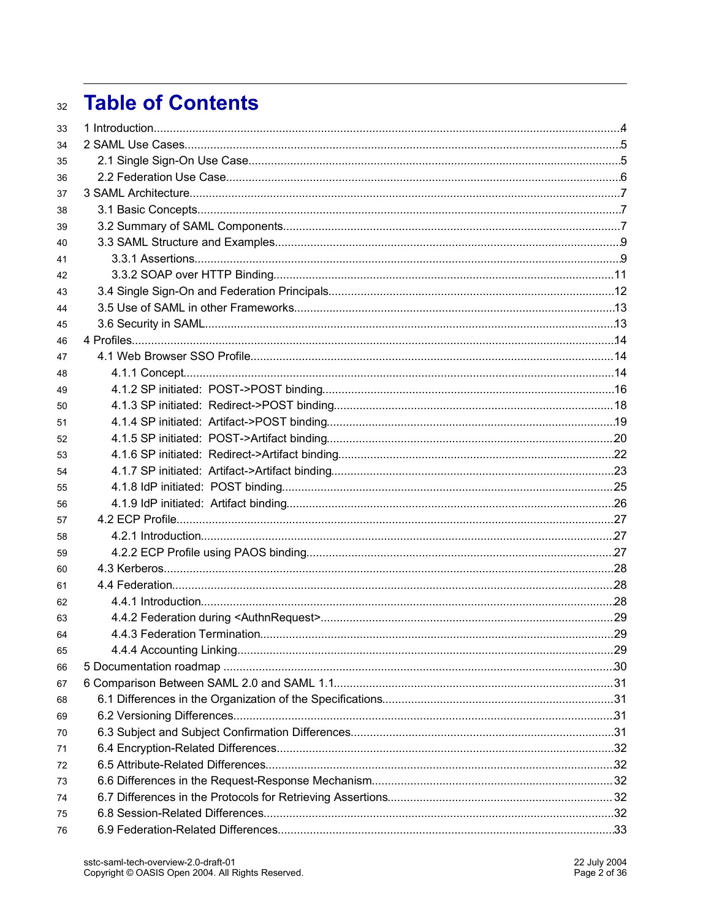## **Table of Contents**  $32$

| 33 |  |
|----|--|
| 34 |  |
| 35 |  |
| 36 |  |
| 37 |  |
| 38 |  |
| 39 |  |
| 40 |  |
| 41 |  |
| 42 |  |
| 43 |  |
| 44 |  |
| 45 |  |
| 46 |  |
| 47 |  |
| 48 |  |
| 49 |  |
| 50 |  |
| 51 |  |
| 52 |  |
| 53 |  |
| 54 |  |
| 55 |  |
| 56 |  |
| 57 |  |
| 58 |  |
| 59 |  |
| 60 |  |
| 61 |  |
| 62 |  |
| 63 |  |
| 64 |  |
| 65 |  |
| 66 |  |
| 67 |  |
| 68 |  |
| 69 |  |
| 70 |  |
| 71 |  |
| 72 |  |
| 73 |  |
| 74 |  |
| 75 |  |
| 76 |  |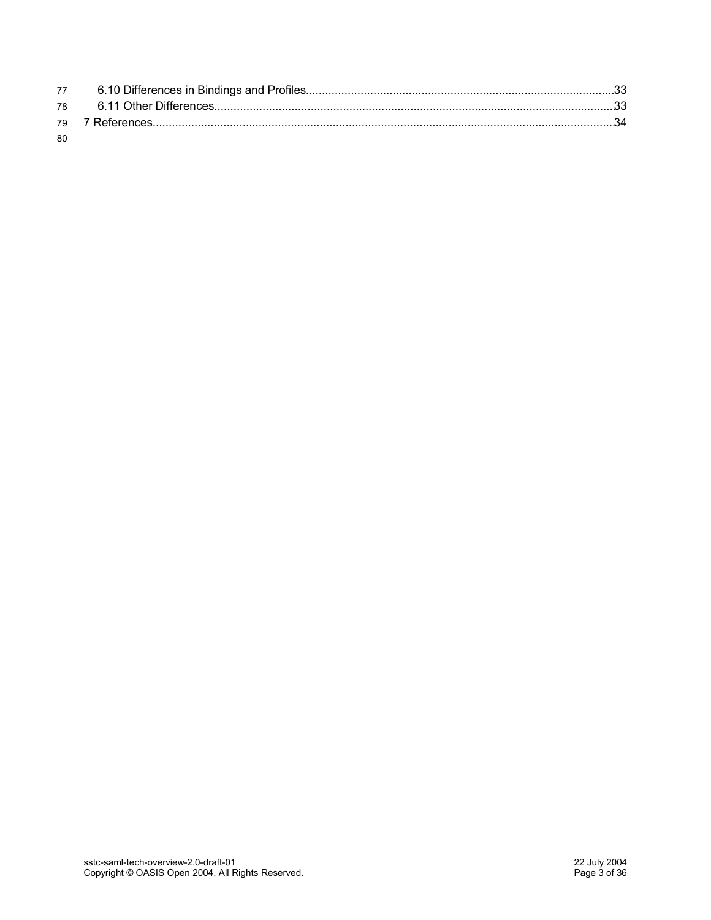| -80 |  |
|-----|--|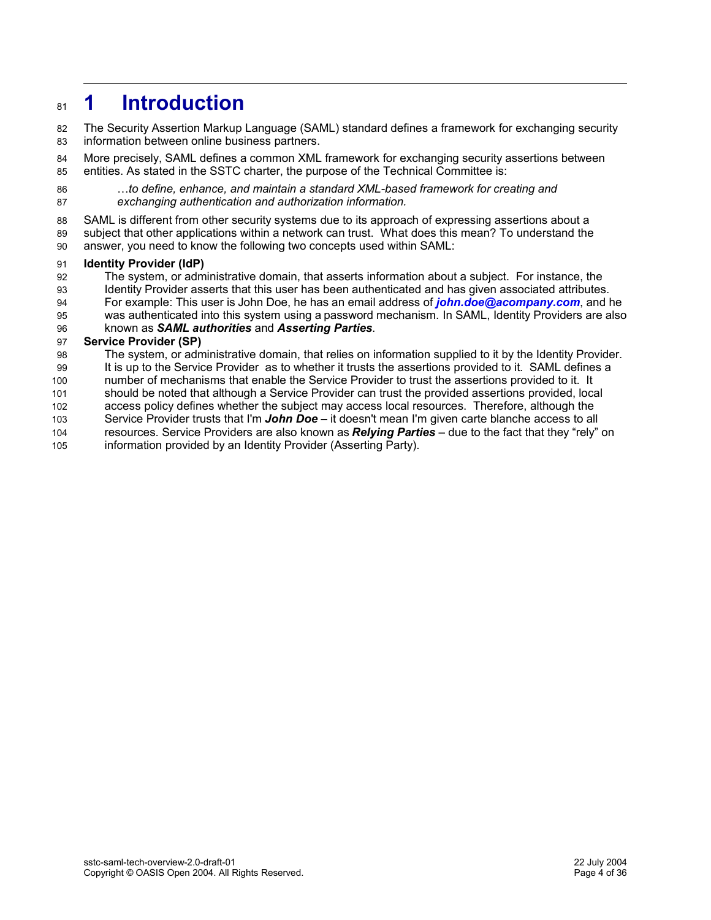## **1 Introduction 81**

The Security Assertion Markup Language (SAML) standard defines a framework for exchanging security information between online business partners. 82 83

More precisely, SAML defines a common XML framework for exchanging security assertions between entities. As stated in the SSTC charter, the purpose of the Technical Committee is: 84 85

…*to define, enhance, and maintain a standard XML-based framework for creating and exchanging authentication and authorization information.* 86 87

SAML is different from other security systems due to its approach of expressing assertions about a 88

subject that other applications within a network can trust. What does this mean? To understand the answer, you need to know the following two concepts used within SAML: 89 90

#### **Identity Provider (IdP)** 91

- The system, or administrative domain, that asserts information about a subject. For instance, the 92
- Identity Provider asserts that this user has been authenticated and has given associated attributes. 93
- For example: This user is John Doe, he has an email address of *john.doe@acompany.com*, and he 94
- was authenticated into this system using a password mechanism. In SAML, Identity Providers are also 95
- known as *SAML authorities* and *Asserting Parties*. 96

#### **Service Provider (SP)** 97

The system, or administrative domain, that relies on information supplied to it by the Identity Provider. 98

It is up to the Service Provider as to whether it trusts the assertions provided to it. SAML defines a 99

number of mechanisms that enable the Service Provider to trust the assertions provided to it. It should be noted that although a Service Provider can trust the provided assertions provided, local 100 101

access policy defines whether the subject may access local resources. Therefore, although the 102

- Service Provider trusts that I'm *John Doe –* it doesn't mean I'm given carte blanche access to all 103
- resources. Service Providers are also known as *Relying Parties* due to the fact that they "rely" on 104
- information provided by an Identity Provider (Asserting Party). 105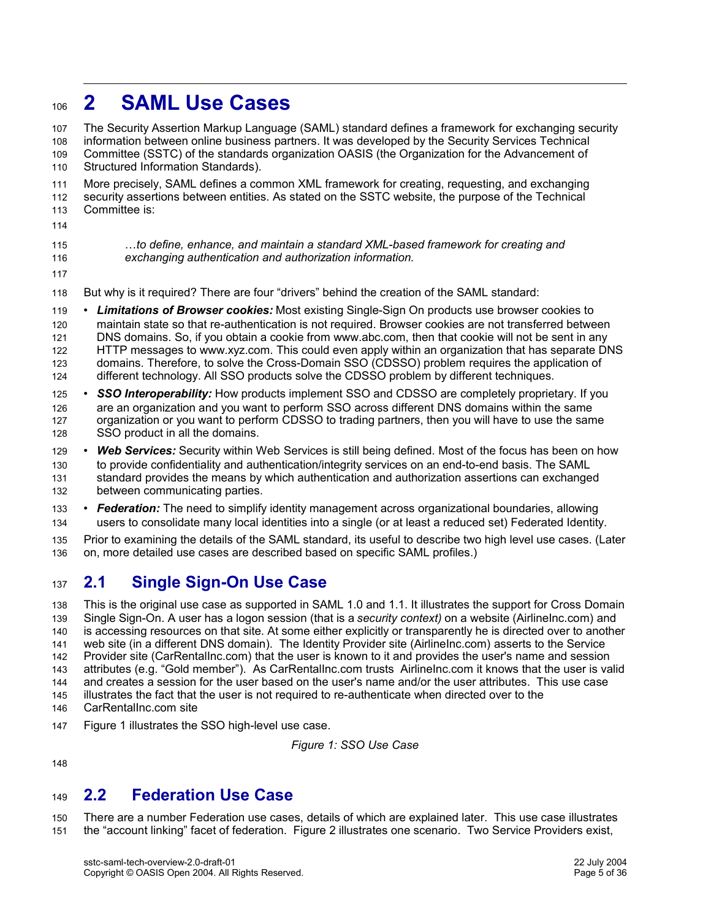## **2 SAML Use Cases** 106

The Security Assertion Markup Language (SAML) standard defines a framework for exchanging security information between online business partners. It was developed by the Security Services Technical Committee (SSTC) of the standards organization OASIS (the Organization for the Advancement of Structured Information Standards). More precisely, SAML defines a common XML framework for creating, requesting, and exchanging 107 108 109 110 111

security assertions between entities. As stated on the SSTC website, the purpose of the Technical Committee is: 112 113

114

…*to define, enhance, and maintain a standard XML-based framework for creating and exchanging authentication and authorization information.* 115 116

117

But why is it required? There are four "drivers" behind the creation of the SAML standard: 118

• *Limitations of Browser cookies:* Most existing Single-Sign On products use browser cookies to maintain state so that re-authentication is not required. Browser cookies are not transferred between DNS domains. So, if you obtain a cookie from www.abc.com, then that cookie will not be sent in any HTTP messages to www.xyz.com. This could even apply within an organization that has separate DNS domains. Therefore, to solve the Cross-Domain SSO (CDSSO) problem requires the application of different technology. All SSO products solve the CDSSO problem by different techniques. 119 120 121 122 123 124

• *SSO Interoperability:* How products implement SSO and CDSSO are completely proprietary. If you are an organization and you want to perform SSO across different DNS domains within the same organization or you want to perform CDSSO to trading partners, then you will have to use the same SSO product in all the domains. 125 126 127 128

• *Web Services:* Security within Web Services is still being defined. Most of the focus has been on how to provide confidentiality and authentication/integrity services on an end-to-end basis. The SAML standard provides the means by which authentication and authorization assertions can exchanged between communicating parties. 129 130 131 132

• *Federation:* The need to simplify identity management across organizational boundaries, allowing users to consolidate many local identities into a single (or at least a reduced set) Federated Identity. 133 134

Prior to examining the details of the SAML standard, its useful to describe two high level use cases. (Later on, more detailed use cases are described based on specific SAML profiles.) 135 136

#### **2.1 Single Sign-On Use Case** 137

This is the original use case as supported in SAML 1.0 and 1.1. It illustrates the support for Cross Domain Single Sign-On. A user has a logon session (that is a *security context)* on a website (AirlineInc.com) and is accessing resources on that site. At some either explicitly or transparently he is directed over to another web site (in a different DNS domain). The Identity Provider site (AirlineInc.com) asserts to the Service Provider site (CarRentalInc.com) that the user is known to it and provides the user's name and session attributes (e.g. "Gold member"). As CarRentalInc.com trusts AirlineInc.com it knows that the user is valid and creates a session for the user based on the user's name and/or the user attributes. This use case illustrates the fact that the user is not required to re-authenticate when directed over to the CarRentalInc.com site 138 139 140 141 142 143 144 145 146

Figure 1 illustrates the SSO high-level use case. 147

*Figure 1: SSO Use Case*

148

#### **2.2 Federation Use Case** 149

There are a number Federation use cases, details of which are explained later. This use case illustrates the "account linking" facet of federation. Figure 2 illustrates one scenario. Two Service Providers exist, 150 151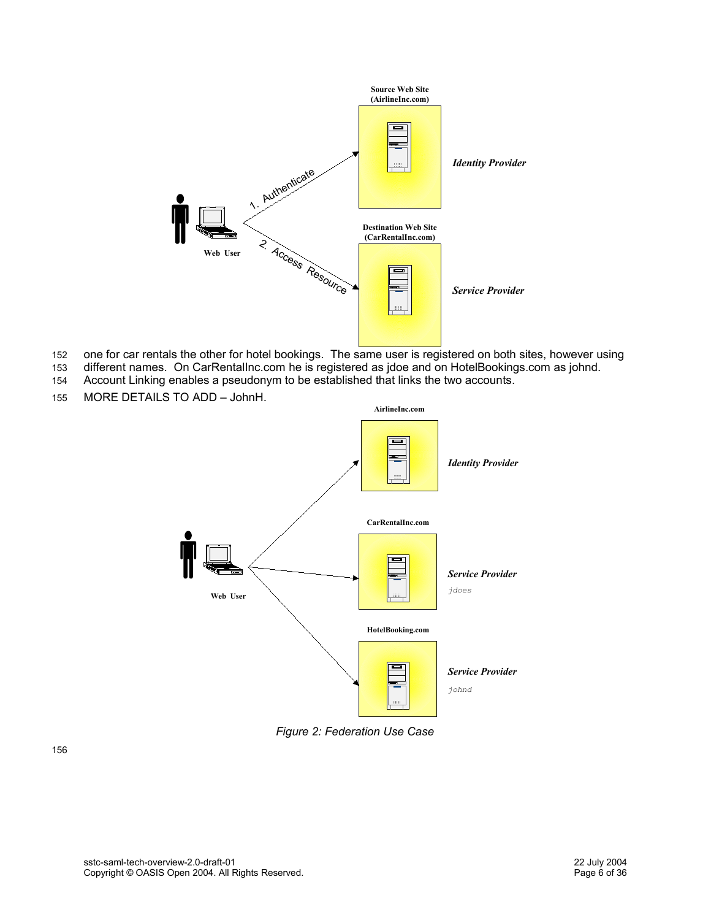

- one for car rentals the other for hotel bookings. The same user is registered on both sites, however using 152
- different names. On CarRentalInc.com he is registered as jdoe and on HotelBookings.com as johnd. Account Linking enables a pseudonym to be established that links the two accounts. 153 154
- 
- MORE DETAILS TO ADD JohnH. 155



*Figure 2: Federation Use Case*

156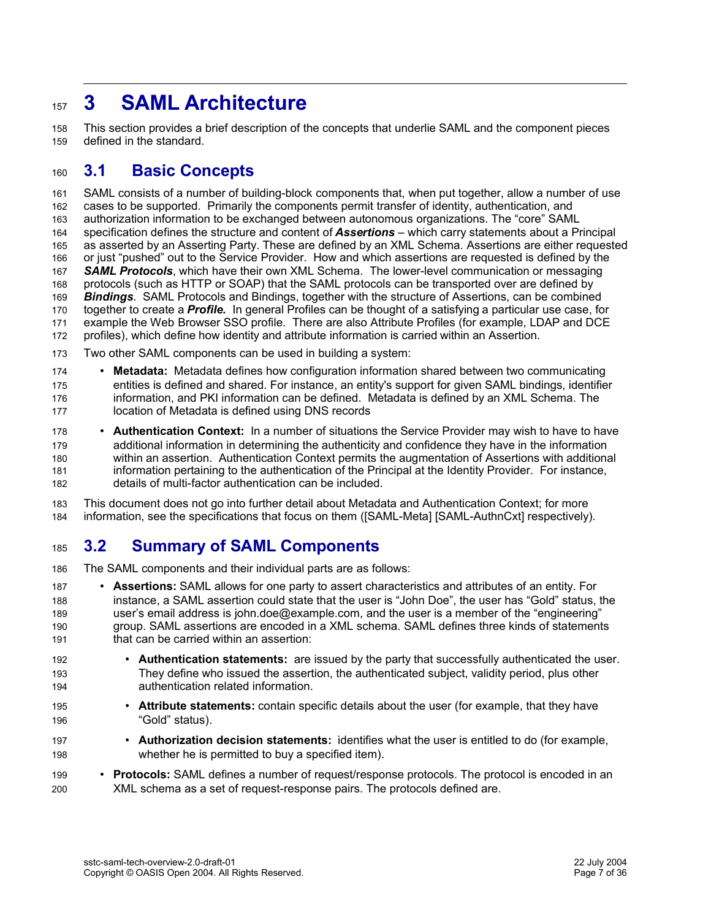## **3 SAML Architecture** 157

This section provides a brief description of the concepts that underlie SAML and the component pieces defined in the standard. 158 159

#### **3.1 Basic Concepts** 160

SAML consists of a number of building-block components that, when put together, allow a number of use cases to be supported. Primarily the components permit transfer of identity, authentication, and authorization information to be exchanged between autonomous organizations. The "core" SAML specification defines the structure and content of *Assertions* – which carry statements about a Principal as asserted by an Asserting Party. These are defined by an XML Schema. Assertions are either requested or just "pushed" out to the Service Provider. How and which assertions are requested is defined by the *SAML Protocols*, which have their own XML Schema. The lower-level communication or messaging protocols (such as HTTP or SOAP) that the SAML protocols can be transported over are defined by *Bindings*. SAML Protocols and Bindings, together with the structure of Assertions, can be combined together to create a *Profile.* In general Profiles can be thought of a satisfying a particular use case, for example the Web Browser SSO profile. There are also Attribute Profiles (for example, LDAP and DCE profiles), which define how identity and attribute information is carried within an Assertion. 161 162 163 164 165 166 167 168 169 170 171 172

Two other SAML components can be used in building a system: 173

• **Metadata:** Metadata defines how configuration information shared between two communicating entities is defined and shared. For instance, an entity's support for given SAML bindings, identifier information, and PKI information can be defined. Metadata is defined by an XML Schema. The location of Metadata is defined using DNS records 174 175 176 177

• **Authentication Context:** In a number of situations the Service Provider may wish to have to have additional information in determining the authenticity and confidence they have in the information within an assertion. Authentication Context permits the augmentation of Assertions with additional information pertaining to the authentication of the Principal at the Identity Provider. For instance, details of multi-factor authentication can be included. 178 179 180 181 182

This document does not go into further detail about Metadata and Authentication Context; for more information, see the specifications that focus on them ([SAML-Meta] [SAML-AuthnCxt] respectively). 183 184

#### **3.2 Summary of SAML Components** 185

The SAML components and their individual parts are as follows: 186

- **Assertions:** SAML allows for one party to assert characteristics and attributes of an entity. For instance, a SAML assertion could state that the user is "John Doe", the user has "Gold" status, the user's email address is john.doe@example.com, and the user is a member of the "engineering" group. SAML assertions are encoded in a XML schema. SAML defines three kinds of statements that can be carried within an assertion: 187 188 189 190 191
- **Authentication statements:** are issued by the party that successfully authenticated the user. They define who issued the assertion, the authenticated subject, validity period, plus other authentication related information. 192 193 194
- **Attribute statements:** contain specific details about the user (for example, that they have "Gold" status). 195 196
- **Authorization decision statements:** identifies what the user is entitled to do (for example, whether he is permitted to buy a specified item). 197 198
- **Protocols:** SAML defines a number of request/response protocols. The protocol is encoded in an XML schema as a set of request-response pairs. The protocols defined are. 199 200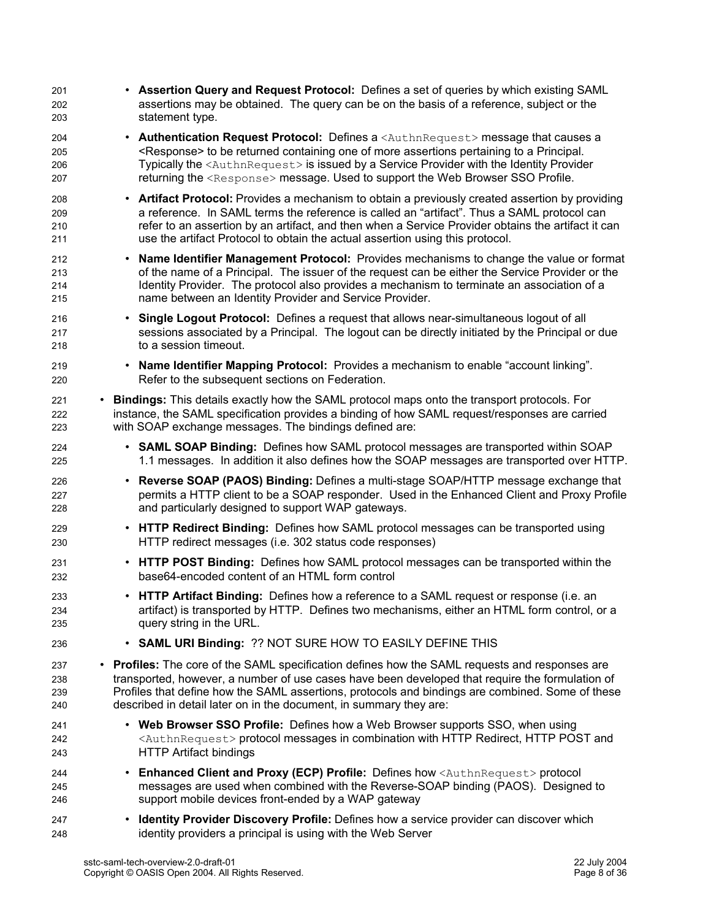| 201<br>202<br>203        | • Assertion Query and Request Protocol: Defines a set of queries by which existing SAML<br>assertions may be obtained. The query can be on the basis of a reference, subject or the<br>statement type.                                                                                                                                                                                                                                                         |                                                                                             |
|--------------------------|----------------------------------------------------------------------------------------------------------------------------------------------------------------------------------------------------------------------------------------------------------------------------------------------------------------------------------------------------------------------------------------------------------------------------------------------------------------|---------------------------------------------------------------------------------------------|
| 204<br>205<br>206<br>207 | <b>Authentication Request Protocol:</b> Defines a <authnrequest> message that causes a<br/><math display="inline">\bullet</math><br/><response> to be returned containing one of more assertions pertaining to a Principal.<br/>Typically the <authnrequest> is issued by a Service Provider with the Identity Provider<br/>returning the <response> message. Used to support the Web Browser SSO Profile.</response></authnrequest></response></authnrequest> |                                                                                             |
| 208<br>209<br>210<br>211 | • Artifact Protocol: Provides a mechanism to obtain a previously created assertion by providing<br>a reference. In SAML terms the reference is called an "artifact". Thus a SAML protocol can<br>refer to an assertion by an artifact, and then when a Service Provider obtains the artifact it can<br>use the artifact Protocol to obtain the actual assertion using this protocol.                                                                           |                                                                                             |
| 212<br>213<br>214<br>215 | • Name Identifier Management Protocol: Provides mechanisms to change the value or format<br>of the name of a Principal. The issuer of the request can be either the Service Provider or the<br>Identity Provider. The protocol also provides a mechanism to terminate an association of a<br>name between an Identity Provider and Service Provider.                                                                                                           |                                                                                             |
| 216<br>217<br>218        | Single Logout Protocol: Defines a request that allows near-simultaneous logout of all<br>$\bullet$<br>sessions associated by a Principal. The logout can be directly initiated by the Principal or due<br>to a session timeout.                                                                                                                                                                                                                                |                                                                                             |
| 219<br>220               | • Name Identifier Mapping Protocol: Provides a mechanism to enable "account linking".<br>Refer to the subsequent sections on Federation.                                                                                                                                                                                                                                                                                                                       |                                                                                             |
| 221<br>222<br>223        | • Bindings: This details exactly how the SAML protocol maps onto the transport protocols. For<br>instance, the SAML specification provides a binding of how SAML request/responses are carried<br>with SOAP exchange messages. The bindings defined are:                                                                                                                                                                                                       |                                                                                             |
| 224<br>225               | • SAML SOAP Binding: Defines how SAML protocol messages are transported within SOAP                                                                                                                                                                                                                                                                                                                                                                            | 1.1 messages. In addition it also defines how the SOAP messages are transported over HTTP.  |
| 226<br>227<br>228        | <b>Reverse SOAP (PAOS) Binding: Defines a multi-stage SOAP/HTTP message exchange that</b><br>$\bullet$<br>and particularly designed to support WAP gateways.                                                                                                                                                                                                                                                                                                   | permits a HTTP client to be a SOAP responder. Used in the Enhanced Client and Proxy Profile |
| 229<br>230               | <b>HTTP Redirect Binding:</b> Defines how SAML protocol messages can be transported using<br>$\bullet$<br>HTTP redirect messages (i.e. 302 status code responses)                                                                                                                                                                                                                                                                                              |                                                                                             |
| 231<br>232               | • HTTP POST Binding: Defines how SAML protocol messages can be transported within the<br>base64-encoded content of an HTML form control                                                                                                                                                                                                                                                                                                                        |                                                                                             |
| 233<br>234<br>235        | • HTTP Artifact Binding: Defines how a reference to a SAML request or response (i.e. an<br>artifact) is transported by HTTP. Defines two mechanisms, either an HTML form control, or a<br>query string in the URL.                                                                                                                                                                                                                                             |                                                                                             |
| 236                      | • SAML URI Binding: ?? NOT SURE HOW TO EASILY DEFINE THIS                                                                                                                                                                                                                                                                                                                                                                                                      |                                                                                             |
| 237<br>238<br>239<br>240 | • Profiles: The core of the SAML specification defines how the SAML requests and responses are<br>transported, however, a number of use cases have been developed that require the formulation of<br>Profiles that define how the SAML assertions, protocols and bindings are combined. Some of these<br>described in detail later on in the document, in summary they are:                                                                                    |                                                                                             |
| 241<br>242<br>243        | • Web Browser SSO Profile: Defines how a Web Browser supports SSO, when using<br><authnrequest> protocol messages in combination with HTTP Redirect, HTTP POST and<br/><b>HTTP Artifact bindings</b></authnrequest>                                                                                                                                                                                                                                            |                                                                                             |
| 244<br>245<br>246        | <b>Enhanced Client and Proxy (ECP) Profile:</b> Defines how <authnrequest> protocol<br/><math display="inline">\bullet</math><br/>messages are used when combined with the Reverse-SOAP binding (PAOS). Designed to<br/>support mobile devices front-ended by a WAP gateway</authnrequest>                                                                                                                                                                     |                                                                                             |
| 247<br>248               | <b>Identity Provider Discovery Profile:</b> Defines how a service provider can discover which<br>$\bullet$<br>identity providers a principal is using with the Web Server                                                                                                                                                                                                                                                                                      |                                                                                             |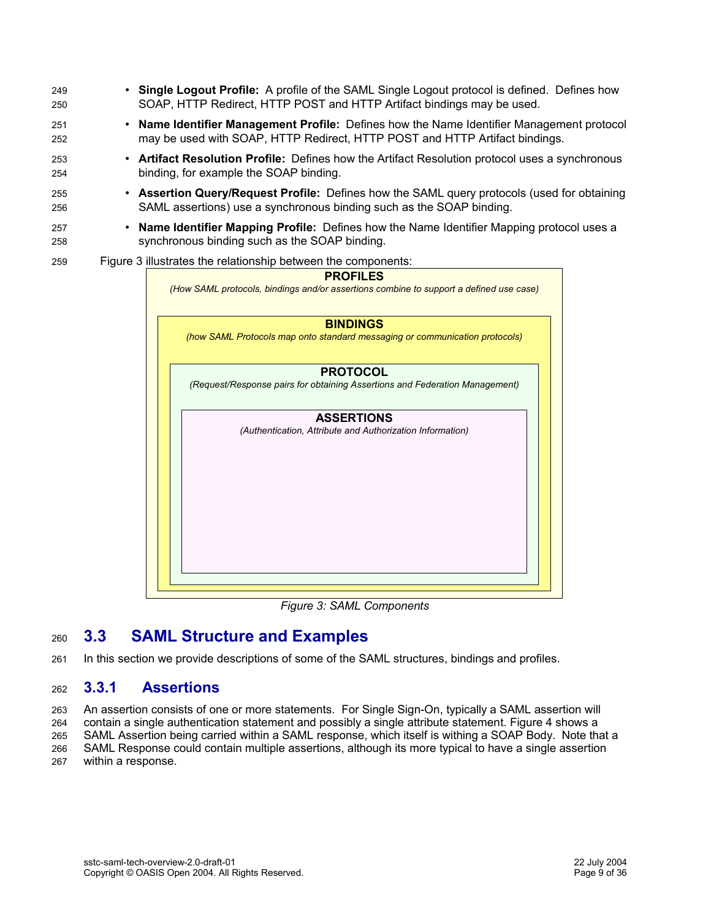| 249 | • Single Logout Profile: A profile of the SAML Single Logout protocol is defined. Defines how             |  |  |  |
|-----|-----------------------------------------------------------------------------------------------------------|--|--|--|
| 250 | SOAP, HTTP Redirect, HTTP POST and HTTP Artifact bindings may be used.                                    |  |  |  |
| 251 | Name Identifier Management Profile: Defines how the Name Identifier Management protocol                   |  |  |  |
| 252 | may be used with SOAP, HTTP Redirect, HTTP POST and HTTP Artifact bindings.                               |  |  |  |
| 253 | Artifact Resolution Profile: Defines how the Artifact Resolution protocol uses a synchronous              |  |  |  |
| 254 | binding, for example the SOAP binding.                                                                    |  |  |  |
| 255 | Assertion Query/Request Profile: Defines how the SAML query protocols (used for obtaining                 |  |  |  |
| 256 | SAML assertions) use a synchronous binding such as the SOAP binding.                                      |  |  |  |
| 257 | Name Identifier Mapping Profile: Defines how the Name Identifier Mapping protocol uses a                  |  |  |  |
| 258 | synchronous binding such as the SOAP binding.                                                             |  |  |  |
| 259 | Figure 3 illustrates the relationship between the components:                                             |  |  |  |
|     | <b>PROFILES</b><br>(How SAML protocols, bindings and/or assertions combine to support a defined use case) |  |  |  |
|     | <b>BINDINGS</b><br>(how SAML Protocols map onto standard messaging or communication protocols)            |  |  |  |
|     | <b>PROTOCOL</b><br>(Request/Response pairs for obtaining Assertions and Federation Management)            |  |  |  |
|     | <b>ASSERTIONS</b><br>(Authentication, Attribute and Authorization Information)                            |  |  |  |

*Figure 3: SAML Components*

#### **3.3 SAML Structure and Examples** 260

In this section we provide descriptions of some of the SAML structures, bindings and profiles. 261

#### **3.3.1 Assertions** 262

An assertion consists of one or more statements. For Single Sign-On, typically a SAML assertion will 263

contain a single authentication statement and possibly a single attribute statement. Figure 4 shows a 264

SAML Assertion being carried within a SAML response, which itself is withing a SOAP Body. Note that a SAML Response could contain multiple assertions, although its more typical to have a single assertion 265

within a response. 266 267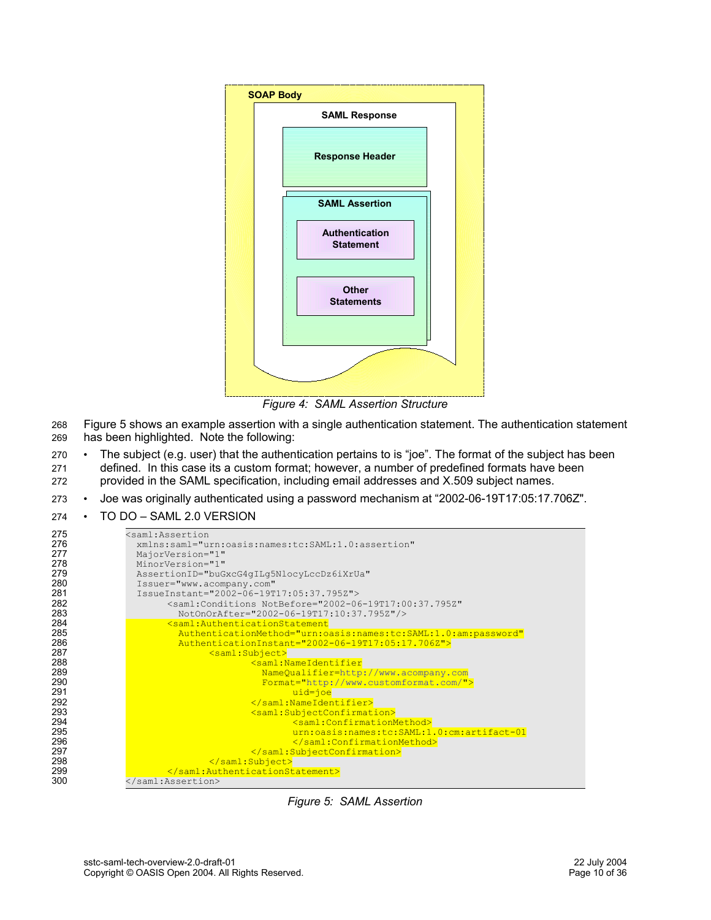

*Figure 4: SAML Assertion Structure*

- Figure 5 shows an example assertion with a single authentication statement. The authentication statement has been highlighted. Note the following: 268 269
- The subject (e.g. user) that the authentication pertains to is "joe". The format of the subject has been defined. In this case its a custom format; however, a number of predefined formats have been provided in the SAML specification, including email addresses and X.509 subject names. 270 271 272
- Joe was originally authenticated using a password mechanism at "2002-06-19T17:05:17.706Z". 273
- TO DO SAML 2.0 VERSION 274



*Figure 5: SAML Assertion*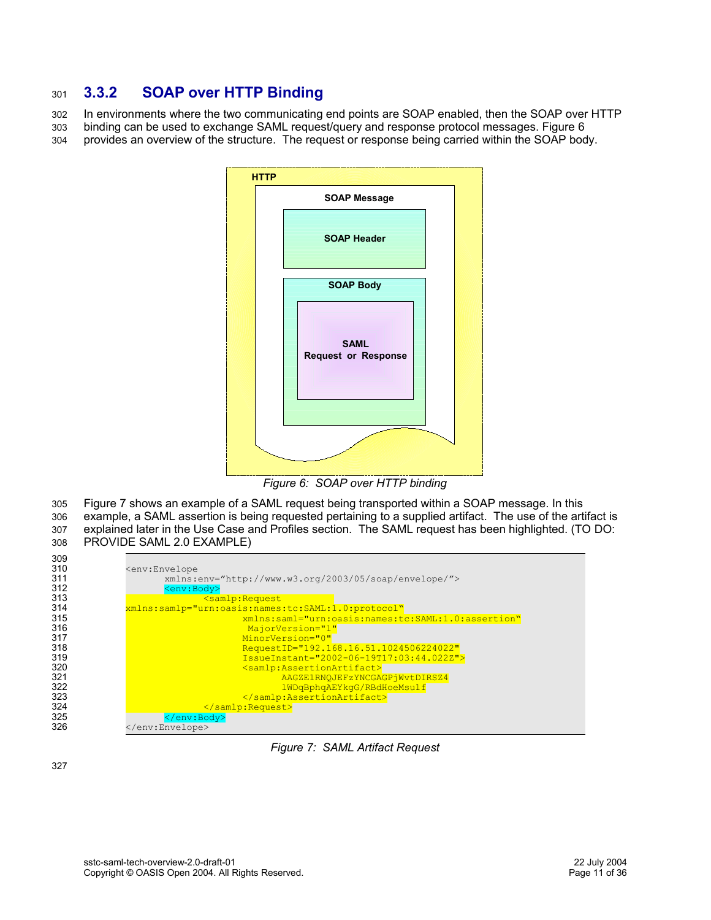#### **3.3.2 SOAP over HTTP Binding** 301

In environments where the two communicating end points are SOAP enabled, then the SOAP over HTTP binding can be used to exchange SAML request/query and response protocol messages. Figure 6 provides an overview of the structure. The request or response being carried within the SOAP body. 302 303 304



*Figure 6: SOAP over HTTP binding*

Figure 7 shows an example of a SAML request being transported within a SOAP message. In this example, a SAML assertion is being requested pertaining to a supplied artifact. The use of the artifact is explained later in the Use Case and Profiles section. The SAML request has been highlighted. (TO DO: PROVIDE SAML 2.0 EXAMPLE) 305 306 307 308



*Figure 7: SAML Artifact Request*

327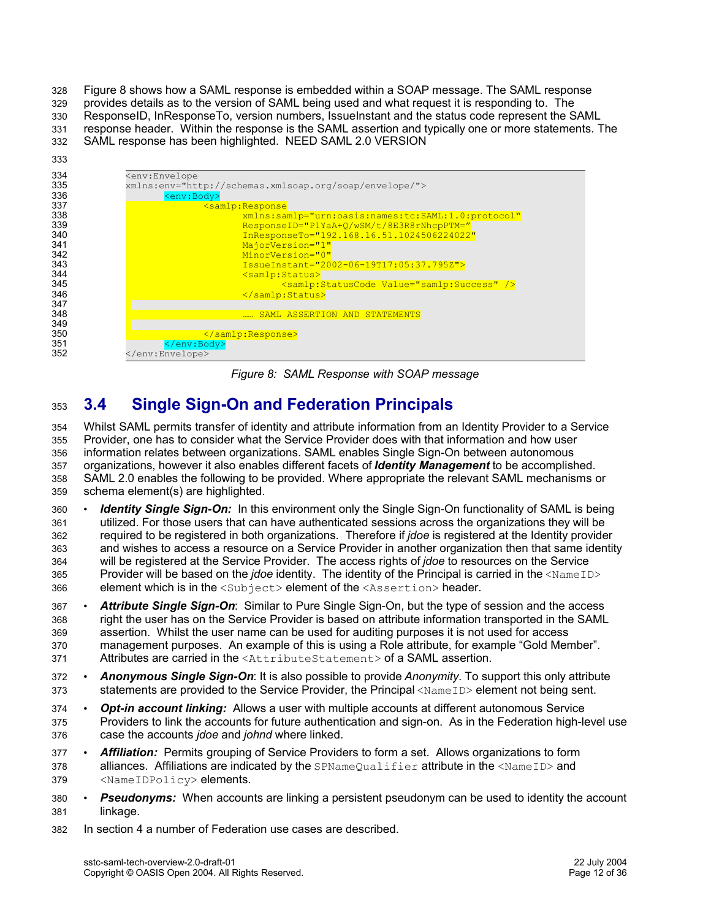Figure 8 shows how a SAML response is embedded within a SOAP message. The SAML response provides details as to the version of SAML being used and what request it is responding to. The ResponseID, InResponseTo, version numbers, IssueInstant and the status code represent the SAML response header. Within the response is the SAML assertion and typically one or more statements. The SAML response has been highlighted. NEED SAML 2.0 VERSION 328 329 330 331 332



*Figure 8: SAML Response with SOAP message*

#### **3.4 Single Sign-On and Federation Principals** 353

Whilst SAML permits transfer of identity and attribute information from an Identity Provider to a Service Provider, one has to consider what the Service Provider does with that information and how user information relates between organizations. SAML enables Single Sign-On between autonomous organizations, however it also enables different facets of *Identity Management* to be accomplished. SAML 2.0 enables the following to be provided. Where appropriate the relevant SAML mechanisms or schema element(s) are highlighted. 354 355 356 357 358 359

- **Identity Single Sign-On:** In this environment only the Single Sign-On functionality of SAML is being utilized. For those users that can have authenticated sessions across the organizations they will be required to be registered in both organizations. Therefore if *jdoe* is registered at the Identity provider and wishes to access a resource on a Service Provider in another organization then that same identity will be registered at the Service Provider. The access rights of *jdoe* to resources on the Service Provider will be based on the *jdoe* identity. The identity of the Principal is carried in the <NameID> element which is in the <Subject> element of the <Assertion> header. 360 361 362 363 364 365 366
- *Attribute Single Sign-On*: Similar to Pure Single Sign-On, but the type of session and the access right the user has on the Service Provider is based on attribute information transported in the SAML assertion. Whilst the user name can be used for auditing purposes it is not used for access management purposes. An example of this is using a Role attribute, for example "Gold Member". Attributes are carried in the <AttributeStatement> of a SAML assertion. 367 368 369 370 371
- *Anonymous Single Sign-On*: It is also possible to provide *Anonymity*. To support this only attribute statements are provided to the Service Provider, the Principal <NameID> element not being sent. 372 373
- *Opt-in account linking:* Allows a user with multiple accounts at different autonomous Service Providers to link the accounts for future authentication and sign-on. As in the Federation high-level use case the accounts *jdoe* and *johnd* where linked. 374 375 376
- *Affiliation:* Permits grouping of Service Providers to form a set. Allows organizations to form alliances. Affiliations are indicated by the  $SPNameQualifier$  attribute in the  $\triangle$ NameID $\triangleright$  and <NameIDPolicy> elements. 377 378 379
- **Pseudonyms:** When accounts are linking a persistent pseudonym can be used to identity the account linkage. 380 381
- In section 4 a number of Federation use cases are described. 382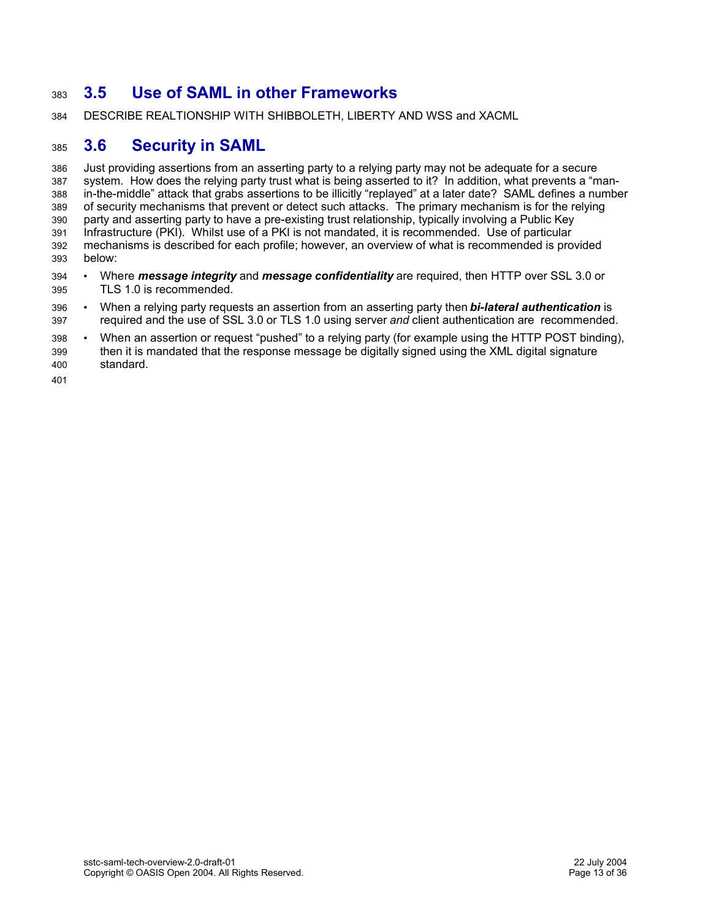#### **3.5 Use of SAML in other Frameworks** 383

DESCRIBE REALTIONSHIP WITH SHIBBOLETH, LIBERTY AND WSS and XACML 384

#### **3.6 Security in SAML** 385

Just providing assertions from an asserting party to a relying party may not be adequate for a secure system. How does the relying party trust what is being asserted to it? In addition, what prevents a "manin-the-middle" attack that grabs assertions to be illicitly "replayed" at a later date? SAML defines a number of security mechanisms that prevent or detect such attacks. The primary mechanism is for the relying party and asserting party to have a pre-existing trust relationship, typically involving a Public Key Infrastructure (PKI). Whilst use of a PKI is not mandated, it is recommended. Use of particular mechanisms is described for each profile; however, an overview of what is recommended is provided below: 386 387 388 389 390 391 392 393

- Where *message integrity* and *message confidentiality* are required, then HTTP over SSL 3.0 or TLS 1.0 is recommended. 394 395
- When a relying party requests an assertion from an asserting party then *bi-lateral authentication* is required and the use of SSL 3.0 or TLS 1.0 using server *and* client authentication are recommended. 396 397
- When an assertion or request "pushed" to a relying party (for example using the HTTP POST binding), then it is mandated that the response message be digitally signed using the XML digital signature standard. 398 399 400

401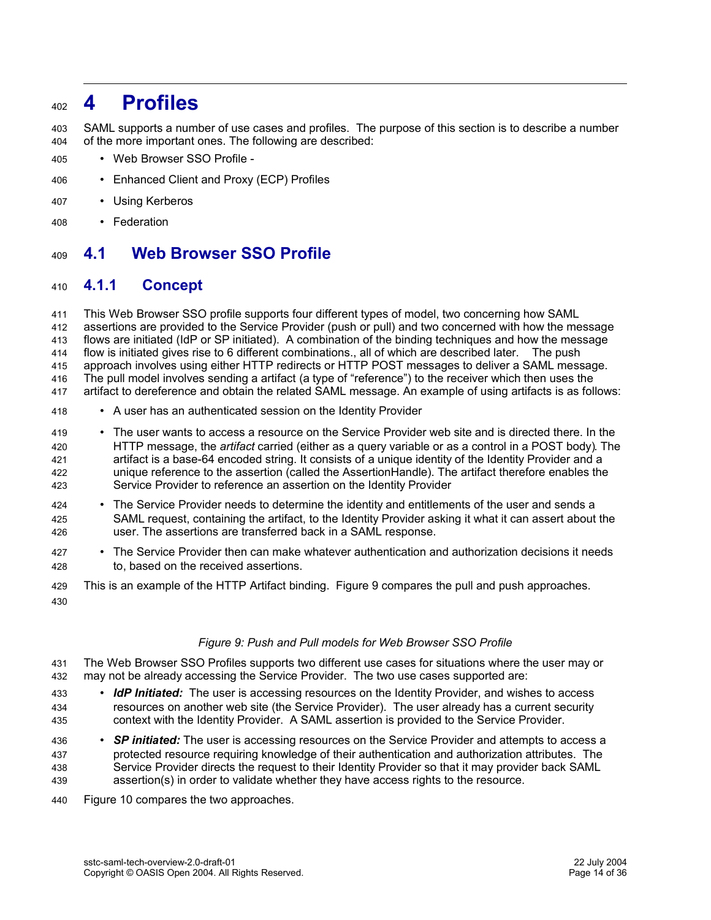### **4 Profiles** 402

SAML supports a number of use cases and profiles. The purpose of this section is to describe a number of the more important ones. The following are described: 403 404

- Web Browser SSO Profile 405
- Enhanced Client and Proxy (ECP) Profiles 406
- Using Kerberos 407
- Federation 408

#### **4.1 Web Browser SSO Profile** 409

#### **4.1.1 Concept** 410

This Web Browser SSO profile supports four different types of model, two concerning how SAML assertions are provided to the Service Provider (push or pull) and two concerned with how the message flows are initiated (IdP or SP initiated). A combination of the binding techniques and how the message flow is initiated gives rise to 6 different combinations., all of which are described later. The push approach involves using either HTTP redirects or HTTP POST messages to deliver a SAML message. The pull model involves sending a artifact (a type of "reference") to the receiver which then uses the artifact to dereference and obtain the related SAML message. An example of using artifacts is as follows: 411 412 413 414 415 416 417

- A user has an authenticated session on the Identity Provider 418
- The user wants to access a resource on the Service Provider web site and is directed there. In the HTTP message, the *artifact* carried (either as a query variable or as a control in a POST body). The artifact is a base-64 encoded string. It consists of a unique identity of the Identity Provider and a unique reference to the assertion (called the AssertionHandle). The artifact therefore enables the Service Provider to reference an assertion on the Identity Provider 419 420 421 422 423
- The Service Provider needs to determine the identity and entitlements of the user and sends a SAML request, containing the artifact, to the Identity Provider asking it what it can assert about the user. The assertions are transferred back in a SAML response. 424 425 426
- The Service Provider then can make whatever authentication and authorization decisions it needs to, based on the received assertions. 427 428
- This is an example of the HTTP Artifact binding. Figure 9 compares the pull and push approaches. 429 430

## *Figure 9: Push and Pull models for Web Browser SSO Profile*

- The Web Browser SSO Profiles supports two different use cases for situations where the user may or may not be already accessing the Service Provider. The two use cases supported are: 431 432
- *IdP Initiated:* The user is accessing resources on the Identity Provider, and wishes to access resources on another web site (the Service Provider). The user already has a current security context with the Identity Provider. A SAML assertion is provided to the Service Provider. 433 434 435
- *SP initiated:* The user is accessing resources on the Service Provider and attempts to access a protected resource requiring knowledge of their authentication and authorization attributes. The Service Provider directs the request to their Identity Provider so that it may provider back SAML assertion(s) in order to validate whether they have access rights to the resource. 436 437 438 439
- Figure 10 compares the two approaches. 440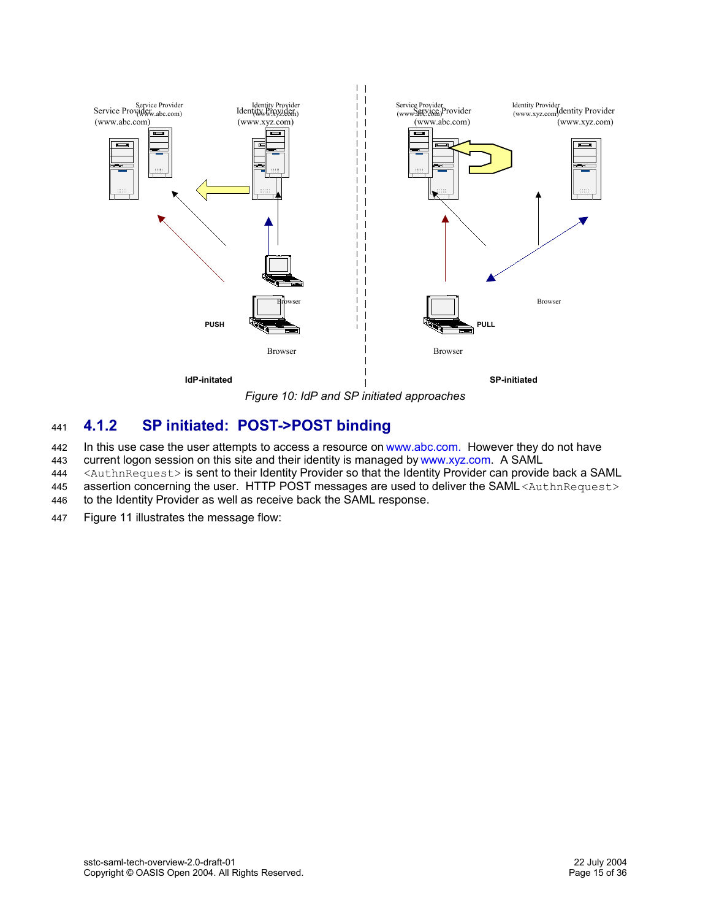

 $\mathbf{L}$ 

*Figure 10: IdP and SP initiated approaches*

#### **4.1.2 SP initiated: POST->POST binding** 441

- In this use case the user attempts to access a resource on www.abc.com. However they do not have 442
- current logon session on this site and their identity is managed by www.xyz.com. A SAML 443
- <AuthnRequest> is sent to their Identity Provider so that the Identity Provider can provide back a SAML 444
- assertion concerning the user. HTTP POST messages are used to deliver the SAML <AuthnRequest> 445
- to the Identity Provider as well as receive back the SAML response. 446
- Figure 11 illustrates the message flow: 447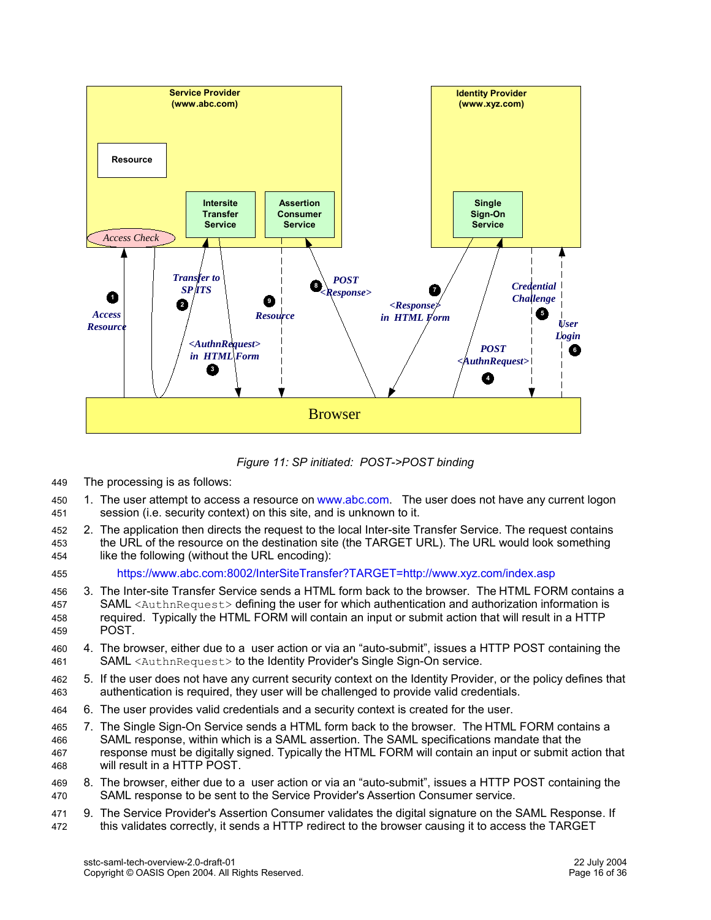

*Figure 11: SP initiated: POST->POST binding*

- The processing is as follows: 449
- 1. The user attempt to access a resource on www.abc.com. The user does not have any current logon session (i.e. security context) on this site, and is unknown to it. 450 451
- 2. The application then directs the request to the local Inter-site Transfer Service. The request contains the URL of the resource on the destination site (the TARGET URL). The URL would look something like the following (without the URL encoding): 452 453 454
- https://www.abc.com:8002/InterSiteTransfer?TARGET=http://www.xyz.com/index.asp 455
- 3. The Inter-site Transfer Service sends a HTML form back to the browser. The HTML FORM contains a SAML <AuthnRequest> defining the user for which authentication and authorization information is required. Typically the HTML FORM will contain an input or submit action that will result in a HTTP **POST.** 456 457 458 459
- 4. The browser, either due to a user action or via an "auto-submit", issues a HTTP POST containing the SAML <AuthnRequest> to the Identity Provider's Single Sign-On service. 460 461
- 5. If the user does not have any current security context on the Identity Provider, or the policy defines that authentication is required, they user will be challenged to provide valid credentials. 462 463
- 6. The user provides valid credentials and a security context is created for the user. 464
- 7. The Single Sign-On Service sends a HTML form back to the browser. The HTML FORM contains a SAML response, within which is a SAML assertion. The SAML specifications mandate that the response must be digitally signed. Typically the HTML FORM will contain an input or submit action that will result in a HTTP POST. 465 466 467 468
- 8. The browser, either due to a user action or via an "auto-submit", issues a HTTP POST containing the SAML response to be sent to the Service Provider's Assertion Consumer service. 469 470
- 9. The Service Provider's Assertion Consumer validates the digital signature on the SAML Response. If this validates correctly, it sends a HTTP redirect to the browser causing it to access the TARGET 471 472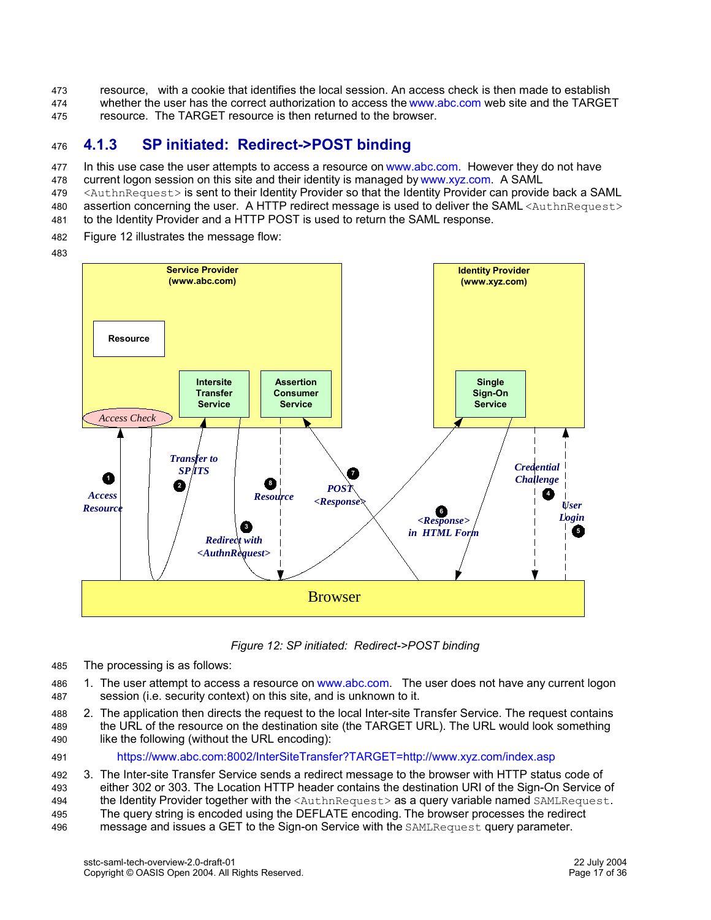resource, with a cookie that identifies the local session. An access check is then made to establish whether the user has the correct authorization to access the www.abc.com web site and the TARGET resource. The TARGET resource is then returned to the browser. 473 474 475

#### **4.1.3 SP initiated: Redirect->POST binding** 476

In this use case the user attempts to access a resource on www.abc.com. However they do not have 477

- current logon session on this site and their identity is managed by www.xyz.com. A SAML 478
- <AuthnRequest> is sent to their Identity Provider so that the Identity Provider can provide back a SAML 479
- assertion concerning the user. A HTTP redirect message is used to deliver the SAML <AuthnRequest> 480
- to the Identity Provider and a HTTP POST is used to return the SAML response. 481
- Figure 12 illustrates the message flow: 482
- 483



*Figure 12: SP initiated: Redirect->POST binding*

The processing is as follows: 485

1. The user attempt to access a resource on www.abc.com. The user does not have any current logon session (i.e. security context) on this site, and is unknown to it. 486 487

2. The application then directs the request to the local Inter-site Transfer Service. The request contains the URL of the resource on the destination site (the TARGET URL). The URL would look something 488 489

- like the following (without the URL encoding): 490
- https://www.abc.com:8002/InterSiteTransfer?TARGET=http://www.xyz.com/index.asp 491

3. The Inter-site Transfer Service sends a redirect message to the browser with HTTP status code of either 302 or 303. The Location HTTP header contains the destination URI of the Sign-On Service of the Identity Provider together with the <AuthnRequest> as a query variable named SAMLRequest. The query string is encoded using the DEFLATE encoding. The browser processes the redirect message and issues a GET to the Sign-on Service with the SAMLRequest query parameter. 492 493 494 495 496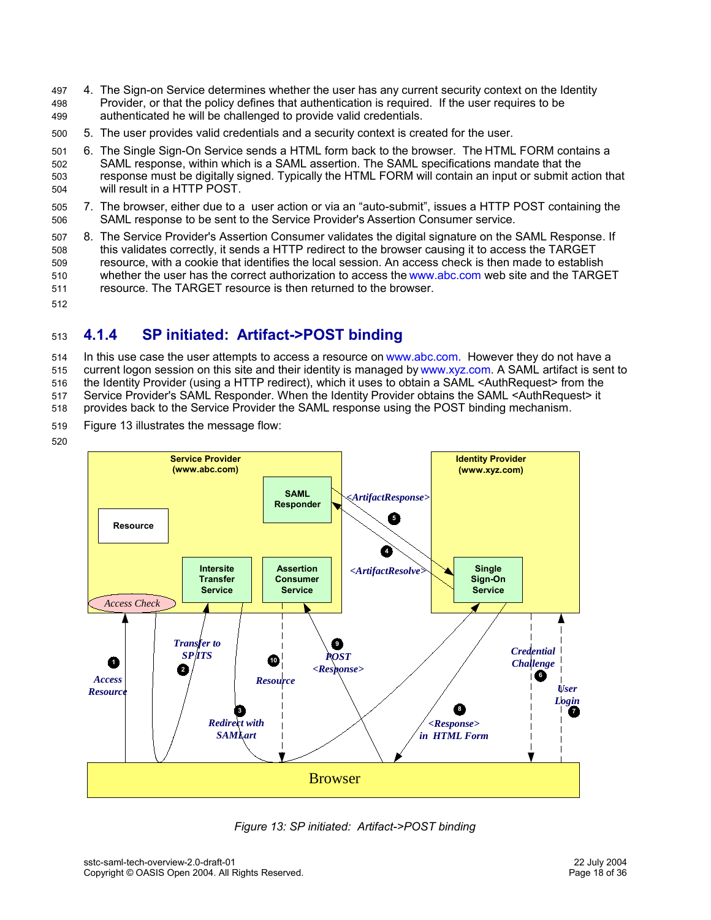- 4. The Sign-on Service determines whether the user has any current security context on the Identity Provider, or that the policy defines that authentication is required. If the user requires to be authenticated he will be challenged to provide valid credentials. 497 498 499
- 5. The user provides valid credentials and a security context is created for the user.  $500$
- 6. The Single Sign-On Service sends a HTML form back to the browser. The HTML FORM contains a SAML response, within which is a SAML assertion. The SAML specifications mandate that the response must be digitally signed. Typically the HTML FORM will contain an input or submit action that will result in a HTTP POST. 501 502 503 504
- 7. The browser, either due to a user action or via an "auto-submit", issues a HTTP POST containing the SAML response to be sent to the Service Provider's Assertion Consumer service. 505 506
- 8. The Service Provider's Assertion Consumer validates the digital signature on the SAML Response. If this validates correctly, it sends a HTTP redirect to the browser causing it to access the TARGET resource, with a cookie that identifies the local session. An access check is then made to establish whether the user has the correct authorization to access the www.abc.com web site and the TARGET resource. The TARGET resource is then returned to the browser. 507 508 509 510 511
- 512

#### **4.1.4 SP initiated: Artifact->POST binding** 513

In this use case the user attempts to access a resource on www.abc.com. However they do not have a current logon session on this site and their identity is managed by www.xyz.com. A SAML artifact is sent to the Identity Provider (using a HTTP redirect), which it uses to obtain a SAML <AuthRequest> from the Service Provider's SAML Responder. When the Identity Provider obtains the SAML <AuthRequest> it 514 515 516 517

provides back to the Service Provider the SAML response using the POST binding mechanism. 518

- Figure 13 illustrates the message flow: 519
- 520



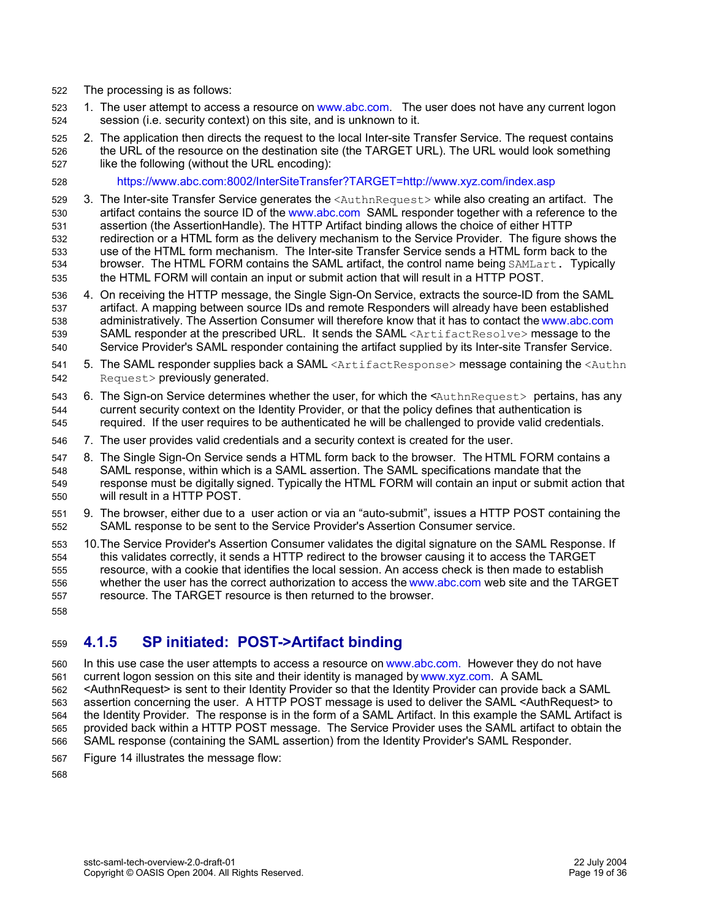- The processing is as follows: 522
- 1. The user attempt to access a resource on www.abc.com. The user does not have any current logon session (i.e. security context) on this site, and is unknown to it. 523 524
- 2. The application then directs the request to the local Inter-site Transfer Service. The request contains the URL of the resource on the destination site (the TARGET URL). The URL would look something like the following (without the URL encoding): 525 526 527
- https://www.abc.com:8002/InterSiteTransfer?TARGET=http://www.xyz.com/index.asp 528
- 3. The Inter-site Transfer Service generates the <AuthnRequest> while also creating an artifact. The artifact contains the source ID of the www.abc.com SAML responder together with a reference to the assertion (the AssertionHandle). The HTTP Artifact binding allows the choice of either HTTP redirection or a HTML form as the delivery mechanism to the Service Provider. The figure shows the use of the HTML form mechanism. The Inter-site Transfer Service sends a HTML form back to the browser. The HTML FORM contains the SAML artifact, the control name being SAMLart. Typically the HTML FORM will contain an input or submit action that will result in a HTTP POST. 529 530 531 532 533 534 535
- 4. On receiving the HTTP message, the Single Sign-On Service, extracts the source-ID from the SAML artifact. A mapping between source IDs and remote Responders will already have been established administratively. The Assertion Consumer will therefore know that it has to contact the www.abc.com SAML responder at the prescribed URL. It sends the SAML <ArtifactResolve> message to the Service Provider's SAML responder containing the artifact supplied by its Inter-site Transfer Service. 536 537 538 539 540
- 5. The SAML responder supplies back a SAML <ArtifactResponse> message containing the <Authn Request> previously generated. 541 542
- 6. The Sign-on Service determines whether the user, for which the <AuthnRequest> pertains, has any current security context on the Identity Provider, or that the policy defines that authentication is required. If the user requires to be authenticated he will be challenged to provide valid credentials. 543 544 545
- 7. The user provides valid credentials and a security context is created for the user. 546
- 8. The Single Sign-On Service sends a HTML form back to the browser. The HTML FORM contains a SAML response, within which is a SAML assertion. The SAML specifications mandate that the response must be digitally signed. Typically the HTML FORM will contain an input or submit action that will result in a HTTP POST. 547 548 549 550
- 9. The browser, either due to a user action or via an "auto-submit", issues a HTTP POST containing the SAML response to be sent to the Service Provider's Assertion Consumer service. 551 552
- 10.The Service Provider's Assertion Consumer validates the digital signature on the SAML Response. If this validates correctly, it sends a HTTP redirect to the browser causing it to access the TARGET resource, with a cookie that identifies the local session. An access check is then made to establish whether the user has the correct authorization to access the www.abc.com web site and the TARGET resource. The TARGET resource is then returned to the browser. 553 554 555 556 557
- 558

#### **4.1.5 SP initiated: POST->Artifact binding** 559

- In this use case the user attempts to access a resource on www.abc.com. However they do not have current logon session on this site and their identity is managed by www.xyz.com. A SAML 560 561
- <AuthnRequest> is sent to their Identity Provider so that the Identity Provider can provide back a SAML assertion concerning the user. A HTTP POST message is used to deliver the SAML <AuthRequest> to the Identity Provider. The response is in the form of a SAML Artifact. In this example the SAML Artifact is provided back within a HTTP POST message. The Service Provider uses the SAML artifact to obtain the 562 563 564 565
- SAML response (containing the SAML assertion) from the Identity Provider's SAML Responder. 566
- Figure 14 illustrates the message flow: 567
- 568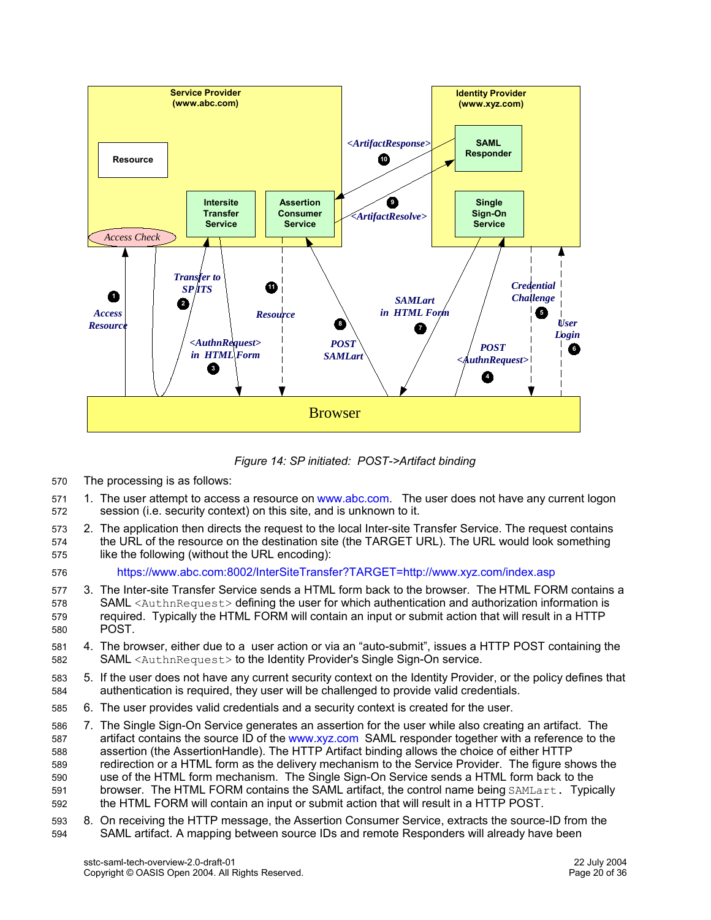

*Figure 14: SP initiated: POST->Artifact binding*

- The processing is as follows: 570
- 1. The user attempt to access a resource on www.abc.com. The user does not have any current logon session (i.e. security context) on this site, and is unknown to it. 571 572
- 2. The application then directs the request to the local Inter-site Transfer Service. The request contains the URL of the resource on the destination site (the TARGET URL). The URL would look something like the following (without the URL encoding): 573 574 575
- https://www.abc.com:8002/InterSiteTransfer?TARGET=http://www.xyz.com/index.asp 576
- 3. The Inter-site Transfer Service sends a HTML form back to the browser. The HTML FORM contains a SAML <AuthnRequest> defining the user for which authentication and authorization information is required. Typically the HTML FORM will contain an input or submit action that will result in a HTTP POST. 577 578 579 580
- 4. The browser, either due to a user action or via an "auto-submit", issues a HTTP POST containing the SAML <AuthnRequest> to the Identity Provider's Single Sign-On service. 581 582
- 5. If the user does not have any current security context on the Identity Provider, or the policy defines that authentication is required, they user will be challenged to provide valid credentials. 583 584
- 6. The user provides valid credentials and a security context is created for the user. 585
- 7. The Single Sign-On Service generates an assertion for the user while also creating an artifact. The artifact contains the source ID of the www.xyz.com SAML responder together with a reference to the assertion (the AssertionHandle). The HTTP Artifact binding allows the choice of either HTTP redirection or a HTML form as the delivery mechanism to the Service Provider. The figure shows the use of the HTML form mechanism. The Single Sign-On Service sends a HTML form back to the browser. The HTML FORM contains the SAML artifact, the control name being SAMLart. Typically the HTML FORM will contain an input or submit action that will result in a HTTP POST. 586 587 588 589 590 591 592
- 8. On receiving the HTTP message, the Assertion Consumer Service, extracts the source-ID from the SAML artifact. A mapping between source IDs and remote Responders will already have been 593 594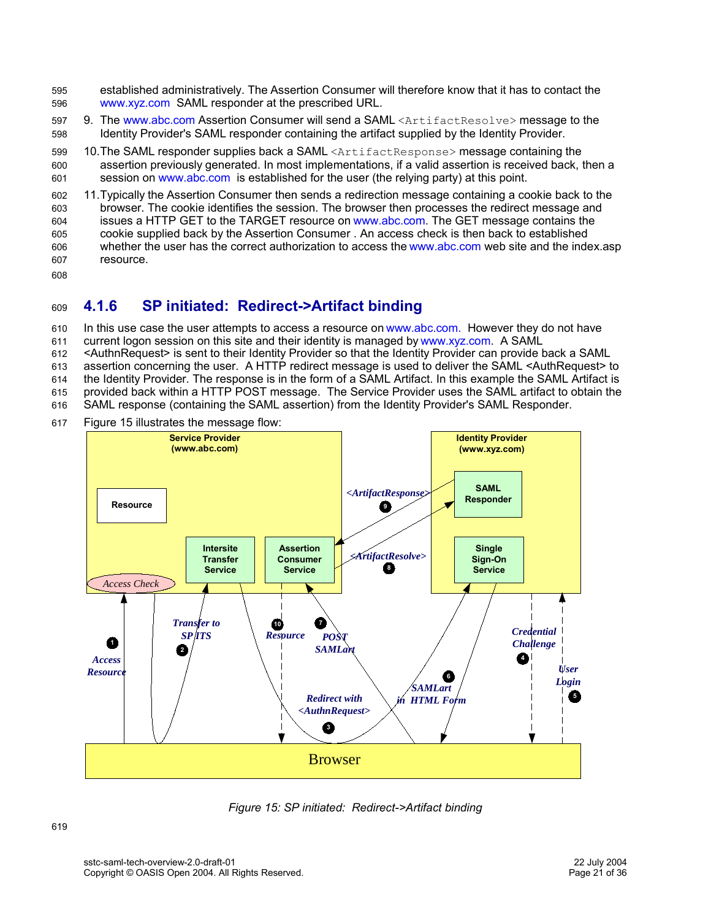- established administratively. The Assertion Consumer will therefore know that it has to contact the www.xyz.com SAML responder at the prescribed URL. 595 596
- 9. The www.abc.com Assertion Consumer will send a SAML <ArtifactResolve> message to the Identity Provider's SAML responder containing the artifact supplied by the Identity Provider. 597 598
- 10. The SAML responder supplies back a SAML <ArtifactResponse> message containing the assertion previously generated. In most implementations, if a valid assertion is received back, then a session on www.abc.com is established for the user (the relying party) at this point. 599 600 601
- 11.Typically the Assertion Consumer then sends a redirection message containing a cookie back to the browser. The cookie identifies the session. The browser then processes the redirect message and issues a HTTP GET to the TARGET resource on www.abc.com. The GET message contains the cookie supplied back by the Assertion Consumer . An access check is then back to established whether the user has the correct authorization to access the www.abc.com web site and the index.asp resource. 602 603 604 605 606 607
- 608

#### **4.1.6 SP initiated: Redirect->Artifact binding** 609

In this use case the user attempts to access a resource on www.abc.com. However they do not have 610

current logon session on this site and their identity is managed by www.xyz.com. A SAML 611

<AuthnRequest> is sent to their Identity Provider so that the Identity Provider can provide back a SAML 612

assertion concerning the user. A HTTP redirect message is used to deliver the SAML <AuthRequest> to 613

the Identity Provider. The response is in the form of a SAML Artifact. In this example the SAML Artifact is provided back within a HTTP POST message. The Service Provider uses the SAML artifact to obtain the 614 615

SAML response (containing the SAML assertion) from the Identity Provider's SAML Responder. 616

Figure 15 illustrates the message flow: 617



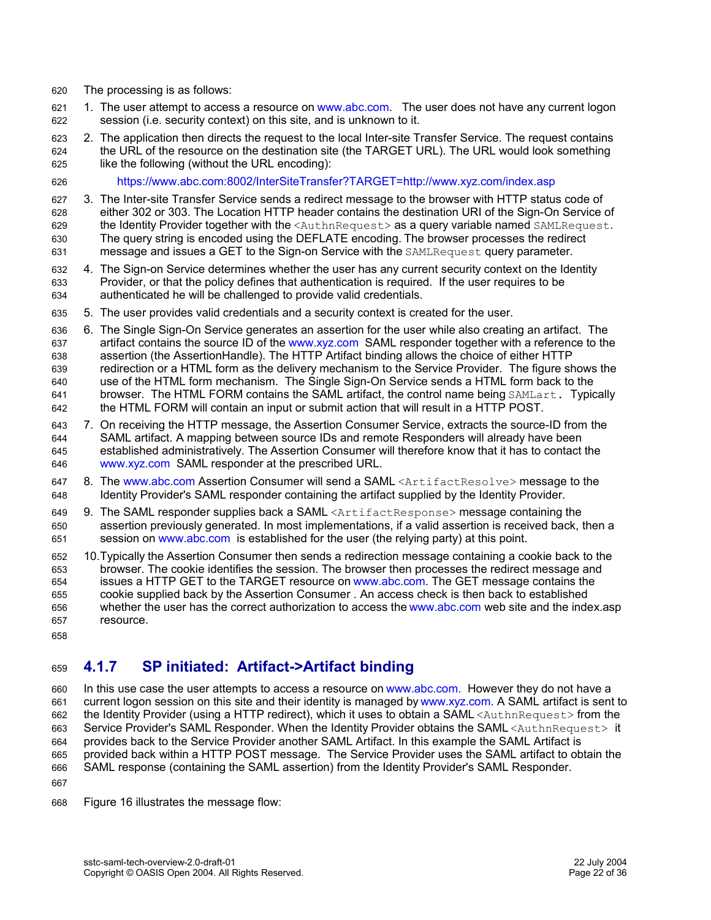- The processing is as follows: 620
- 1. The user attempt to access a resource on www.abc.com. The user does not have any current logon session (i.e. security context) on this site, and is unknown to it. 621 622
- 2. The application then directs the request to the local Inter-site Transfer Service. The request contains the URL of the resource on the destination site (the TARGET URL). The URL would look something like the following (without the URL encoding): 623 624 625
- https://www.abc.com:8002/InterSiteTransfer?TARGET=http://www.xyz.com/index.asp 626
- 3. The Inter-site Transfer Service sends a redirect message to the browser with HTTP status code of either 302 or 303. The Location HTTP header contains the destination URI of the Sign-On Service of the Identity Provider together with the <AuthnRequest> as a query variable named SAMLRequest. The query string is encoded using the DEFLATE encoding. The browser processes the redirect message and issues a GET to the Sign-on Service with the SAMLRequest query parameter. 627 628 629 630 631
- 4. The Sign-on Service determines whether the user has any current security context on the Identity Provider, or that the policy defines that authentication is required. If the user requires to be authenticated he will be challenged to provide valid credentials. 632 633 634
- 5. The user provides valid credentials and a security context is created for the user. 635
- 6. The Single Sign-On Service generates an assertion for the user while also creating an artifact. The artifact contains the source ID of the www.xyz.com SAML responder together with a reference to the assertion (the AssertionHandle). The HTTP Artifact binding allows the choice of either HTTP redirection or a HTML form as the delivery mechanism to the Service Provider. The figure shows the use of the HTML form mechanism. The Single Sign-On Service sends a HTML form back to the browser. The HTML FORM contains the SAML artifact, the control name being SAMLart. Typically the HTML FORM will contain an input or submit action that will result in a HTTP POST. 636 637 638 639 640 641 642
- 7. On receiving the HTTP message, the Assertion Consumer Service, extracts the source-ID from the SAML artifact. A mapping between source IDs and remote Responders will already have been established administratively. The Assertion Consumer will therefore know that it has to contact the www.xyz.com SAML responder at the prescribed URL. 643 644 645 646
- 8. The www.abc.com Assertion Consumer will send a SAML <ArtifactResolve> message to the Identity Provider's SAML responder containing the artifact supplied by the Identity Provider. 647 648
- 9. The SAML responder supplies back a SAML <ArtifactResponse> message containing the assertion previously generated. In most implementations, if a valid assertion is received back, then a session on www.abc.com is established for the user (the relying party) at this point. 649 650 651
- 10.Typically the Assertion Consumer then sends a redirection message containing a cookie back to the browser. The cookie identifies the session. The browser then processes the redirect message and issues a HTTP GET to the TARGET resource on www.abc.com. The GET message contains the cookie supplied back by the Assertion Consumer . An access check is then back to established whether the user has the correct authorization to access the www.abc.com web site and the index.asp resource. 652 653 654 655 656 657
- 658

#### **4.1.7 SP initiated: Artifact->Artifact binding** 659

In this use case the user attempts to access a resource on www.abc.com. However they do not have a current logon session on this site and their identity is managed by www.xyz.com. A SAML artifact is sent to the Identity Provider (using a HTTP redirect), which it uses to obtain a SAML <AuthnRequest> from the Service Provider's SAML Responder. When the Identity Provider obtains the SAML <AuthnRequest> it provides back to the Service Provider another SAML Artifact. In this example the SAML Artifact is provided back within a HTTP POST message. The Service Provider uses the SAML artifact to obtain the SAML response (containing the SAML assertion) from the Identity Provider's SAML Responder. 660 661 662 663 664 665 666 667

Figure 16 illustrates the message flow: 668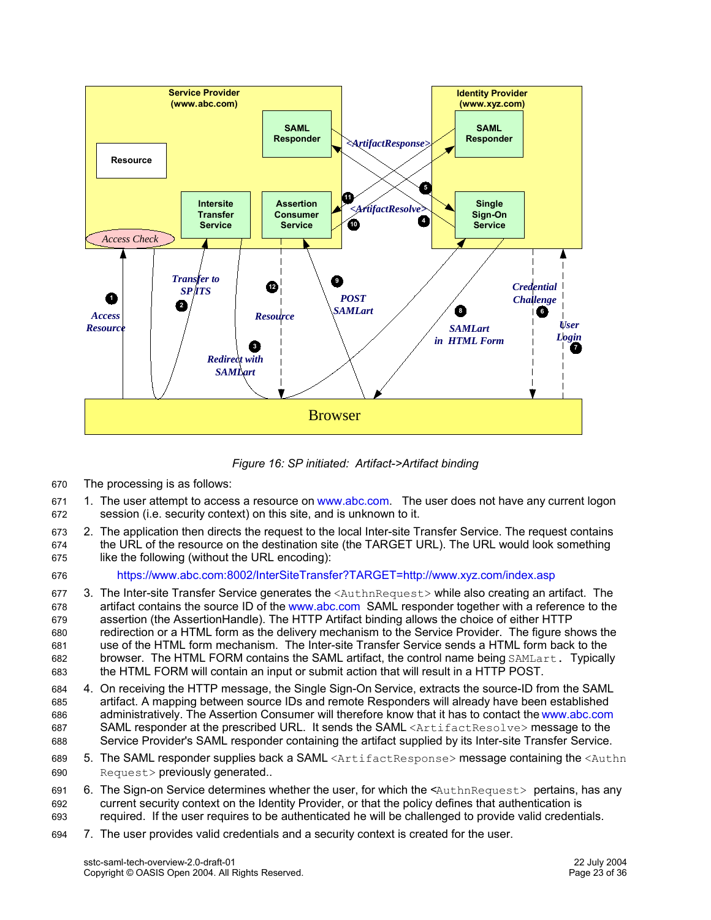

*Figure 16: SP initiated: Artifact->Artifact binding*

- The processing is as follows: 670
- 1. The user attempt to access a resource on www.abc.com. The user does not have any current logon session (i.e. security context) on this site, and is unknown to it. 671 672
- 2. The application then directs the request to the local Inter-site Transfer Service. The request contains the URL of the resource on the destination site (the TARGET URL). The URL would look something like the following (without the URL encoding): 673 674 675
- 676

https://www.abc.com:8002/InterSiteTransfer?TARGET=http://www.xyz.com/index.asp

- 3. The Inter-site Transfer Service generates the <AuthnRequest> while also creating an artifact. The artifact contains the source ID of the www.abc.com SAML responder together with a reference to the assertion (the AssertionHandle). The HTTP Artifact binding allows the choice of either HTTP redirection or a HTML form as the delivery mechanism to the Service Provider. The figure shows the use of the HTML form mechanism. The Inter-site Transfer Service sends a HTML form back to the browser. The HTML FORM contains the SAML artifact, the control name being SAMLart. Typically the HTML FORM will contain an input or submit action that will result in a HTTP POST. 677 678 679 680 681 682 683
- 4. On receiving the HTTP message, the Single Sign-On Service, extracts the source-ID from the SAML artifact. A mapping between source IDs and remote Responders will already have been established administratively. The Assertion Consumer will therefore know that it has to contact the www.abc.com SAML responder at the prescribed URL. It sends the SAML <ArtifactResolve> message to the Service Provider's SAML responder containing the artifact supplied by its Inter-site Transfer Service. 684 685 686 687 688
- 5. The SAML responder supplies back a SAML <ArtifactResponse> message containing the <Authn Request> previously generated.. 689 690
- 6. The Sign-on Service determines whether the user, for which the <AuthnRequest> pertains, has any current security context on the Identity Provider, or that the policy defines that authentication is required. If the user requires to be authenticated he will be challenged to provide valid credentials. 691 692 693
- 7. The user provides valid credentials and a security context is created for the user. 694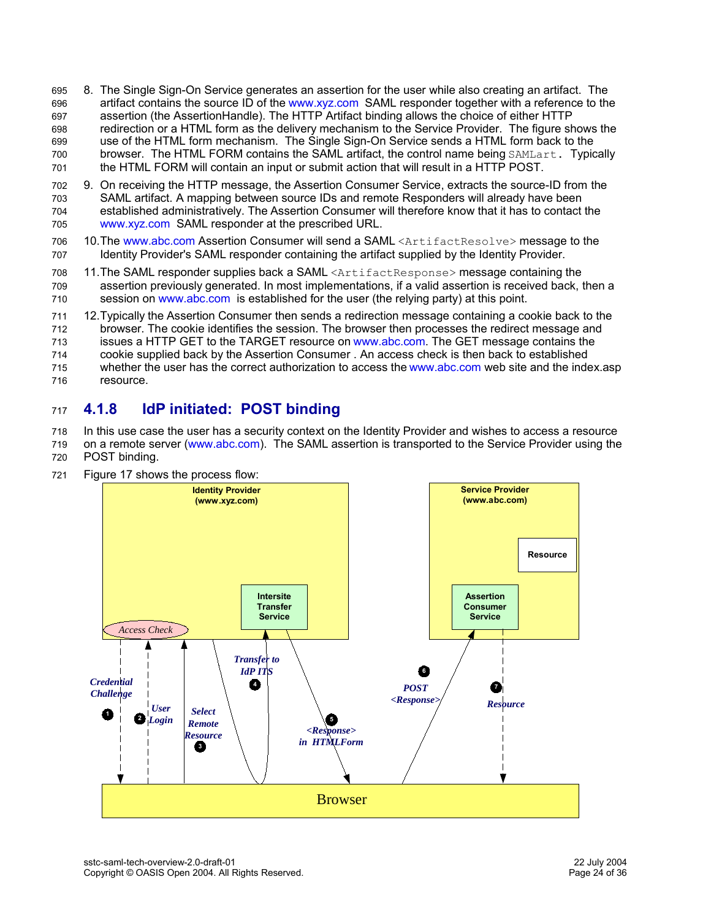- 8. The Single Sign-On Service generates an assertion for the user while also creating an artifact. The artifact contains the source ID of the www.xyz.com SAML responder together with a reference to the assertion (the AssertionHandle). The HTTP Artifact binding allows the choice of either HTTP redirection or a HTML form as the delivery mechanism to the Service Provider. The figure shows the use of the HTML form mechanism. The Single Sign-On Service sends a HTML form back to the browser. The HTML FORM contains the SAML artifact, the control name being SAMLart. Typically the HTML FORM will contain an input or submit action that will result in a HTTP POST. 695 696 697 698 699 700 701
- 9. On receiving the HTTP message, the Assertion Consumer Service, extracts the source-ID from the SAML artifact. A mapping between source IDs and remote Responders will already have been established administratively. The Assertion Consumer will therefore know that it has to contact the www.xyz.com SAML responder at the prescribed URL. 702 703 704 705
- 10. The www.abc.com Assertion Consumer will send a SAML <ArtifactResolve> message to the Identity Provider's SAML responder containing the artifact supplied by the Identity Provider. 706 707
- 11. The SAML responder supplies back a SAML <ArtifactResponse> message containing the assertion previously generated. In most implementations, if a valid assertion is received back, then a session on www.abc.com is established for the user (the relying party) at this point. 708 709 710
- 12.Typically the Assertion Consumer then sends a redirection message containing a cookie back to the browser. The cookie identifies the session. The browser then processes the redirect message and issues a HTTP GET to the TARGET resource on www.abc.com. The GET message contains the 711 712 713
- cookie supplied back by the Assertion Consumer . An access check is then back to established 714
- whether the user has the correct authorization to access the www.abc.com web site and the index.asp 715
- resource. 716

#### **4.1.8 IdP initiated: POST binding** 717

In this use case the user has a security context on the Identity Provider and wishes to access a resource on a remote server (www.abc.com). The SAML assertion is transported to the Service Provider using the 718

- POST binding. 719 720
- 721

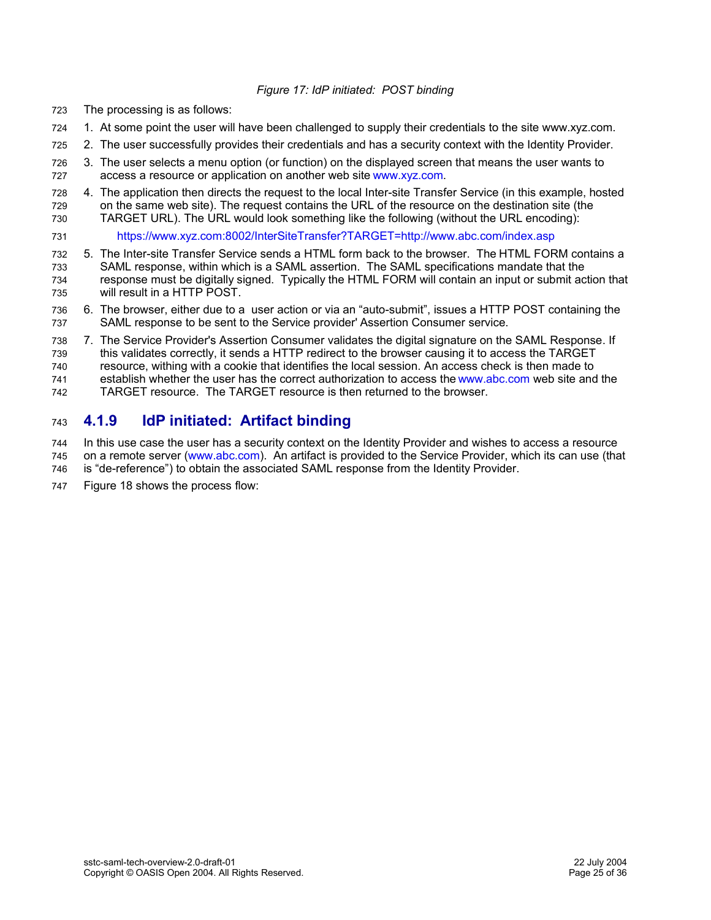## *Figure 17: IdP initiated: POST binding*

- The processing is as follows: 723
- 1. At some point the user will have been challenged to supply their credentials to the site www.xyz.com. 724
- 2. The user successfully provides their credentials and has a security context with the Identity Provider. 725
- 3. The user selects a menu option (or function) on the displayed screen that means the user wants to access a resource or application on another web site www.xyz.com. 726 727
- 4. The application then directs the request to the local Inter-site Transfer Service (in this example, hosted on the same web site). The request contains the URL of the resource on the destination site (the TARGET URL). The URL would look something like the following (without the URL encoding): 728 729 730
- https://www.xyz.com:8002/InterSiteTransfer?TARGET=http://www.abc.com/index.asp 731
- 5. The Inter-site Transfer Service sends a HTML form back to the browser. The HTML FORM contains a SAML response, within which is a SAML assertion. The SAML specifications mandate that the response must be digitally signed. Typically the HTML FORM will contain an input or submit action that will result in a HTTP POST. 732 733 734 735
- 6. The browser, either due to a user action or via an "auto-submit", issues a HTTP POST containing the SAML response to be sent to the Service provider' Assertion Consumer service. 736 737
- 7. The Service Provider's Assertion Consumer validates the digital signature on the SAML Response. If this validates correctly, it sends a HTTP redirect to the browser causing it to access the TARGET resource, withing with a cookie that identifies the local session. An access check is then made to 738 739 740

establish whether the user has the correct authorization to access the www.abc.com web site and the 741

TARGET resource. The TARGET resource is then returned to the browser. 742

#### **4.1.9 IdP initiated: Artifact binding** 743

In this use case the user has a security context on the Identity Provider and wishes to access a resource on a remote server (www.abc.com). An artifact is provided to the Service Provider, which its can use (that is "de-reference") to obtain the associated SAML response from the Identity Provider. 744 745 746

- 
- Figure 18 shows the process flow: 747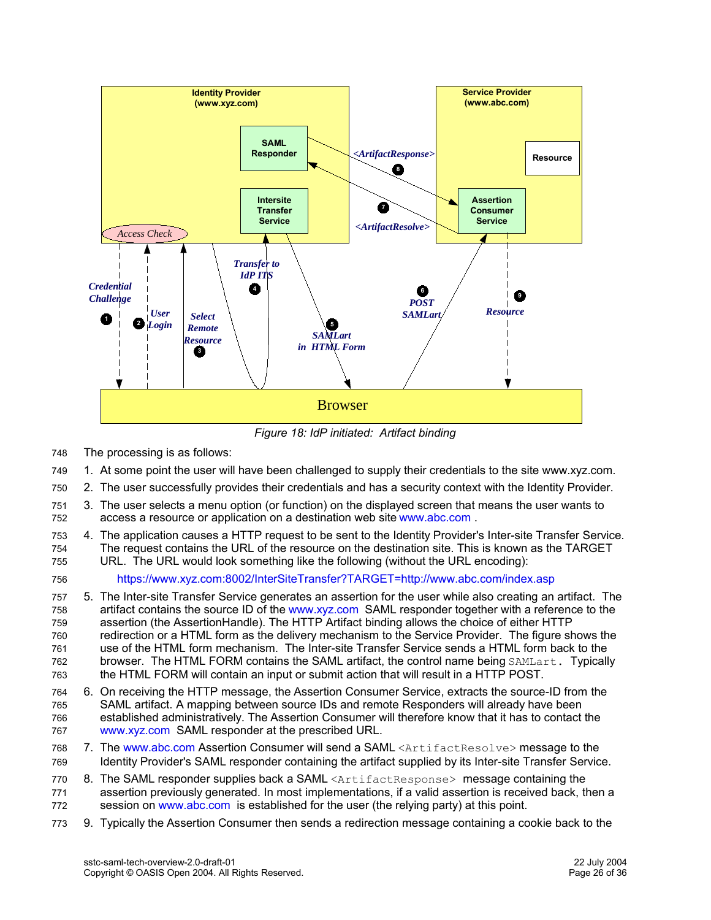

*Figure 18: IdP initiated: Artifact binding*

- The processing is as follows: 748
- 1. At some point the user will have been challenged to supply their credentials to the site www.xyz.com. 749
- 2. The user successfully provides their credentials and has a security context with the Identity Provider. 750
- 3. The user selects a menu option (or function) on the displayed screen that means the user wants to access a resource or application on a destination web site www.abc.com . 751 752
- 4. The application causes a HTTP request to be sent to the Identity Provider's Inter-site Transfer Service. The request contains the URL of the resource on the destination site. This is known as the TARGET URL. The URL would look something like the following (without the URL encoding): 753 754 755
- https://www.xyz.com:8002/InterSiteTransfer?TARGET=http://www.abc.com/index.asp 756
- 5. The Inter-site Transfer Service generates an assertion for the user while also creating an artifact. The artifact contains the source ID of the www.xyz.com SAML responder together with a reference to the assertion (the AssertionHandle). The HTTP Artifact binding allows the choice of either HTTP redirection or a HTML form as the delivery mechanism to the Service Provider. The figure shows the use of the HTML form mechanism. The Inter-site Transfer Service sends a HTML form back to the browser. The HTML FORM contains the SAML artifact, the control name being SAMLart. Typically the HTML FORM will contain an input or submit action that will result in a HTTP POST. 757 758 759 760 761 762 763
- 6. On receiving the HTTP message, the Assertion Consumer Service, extracts the source-ID from the SAML artifact. A mapping between source IDs and remote Responders will already have been established administratively. The Assertion Consumer will therefore know that it has to contact the www.xyz.com SAML responder at the prescribed URL. 764 765 766 767
- 7. The www.abc.com Assertion Consumer will send a SAML <ArtifactResolve> message to the Identity Provider's SAML responder containing the artifact supplied by its Inter-site Transfer Service. 768 769
- 8. The SAML responder supplies back a SAML <ArtifactResponse> message containing the assertion previously generated. In most implementations, if a valid assertion is received back, then a session on www.abc.com is established for the user (the relying party) at this point. 770 771 772
- 9. Typically the Assertion Consumer then sends a redirection message containing a cookie back to the 773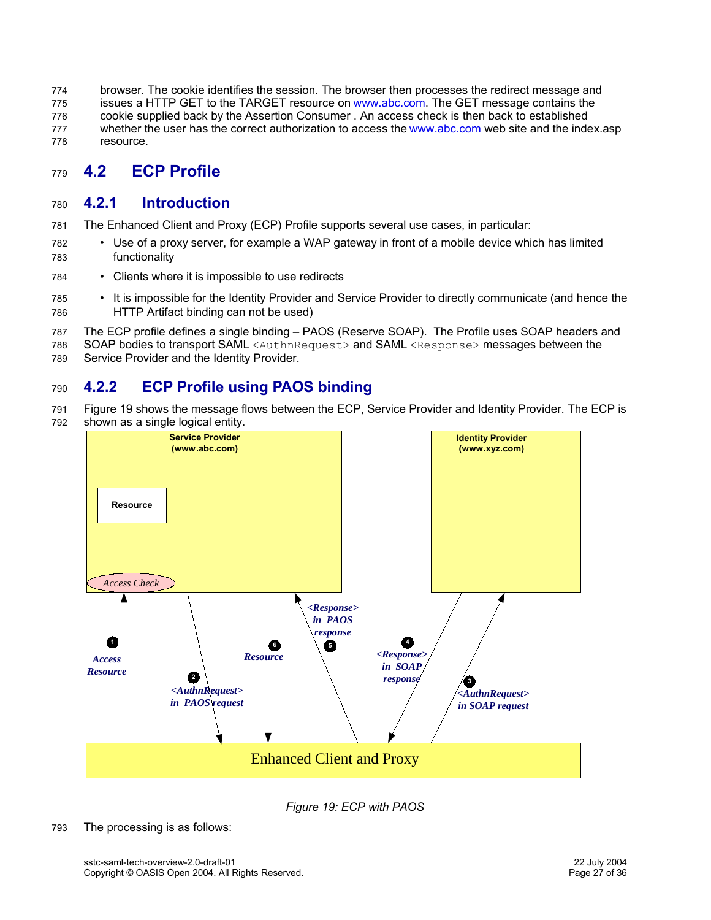browser. The cookie identifies the session. The browser then processes the redirect message and issues a HTTP GET to the TARGET resource on www.abc.com. The GET message contains the cookie supplied back by the Assertion Consumer . An access check is then back to established whether the user has the correct authorization to access the www.abc.com web site and the index.asp resource. 774 775 776 777 778

#### **4.2 ECP Profile** 779

#### **4.2.1 Introduction** 780

- The Enhanced Client and Proxy (ECP) Profile supports several use cases, in particular: 781
- Use of a proxy server, for example a WAP gateway in front of a mobile device which has limited functionality 782 783
- Clients where it is impossible to use redirects 784
- It is impossible for the Identity Provider and Service Provider to directly communicate (and hence the HTTP Artifact binding can not be used) 785 786
- The ECP profile defines a single binding PAOS (Reserve SOAP). The Profile uses SOAP headers and 787
- SOAP bodies to transport SAML <AuthnRequest> and SAML <Response> messages between the 788
- Service Provider and the Identity Provider. 789

#### **4.2.2 ECP Profile using PAOS binding** 790

Figure 19 shows the message flows between the ECP, Service Provider and Identity Provider. The ECP is shown as a single logical entity. 791 792





The processing is as follows: 793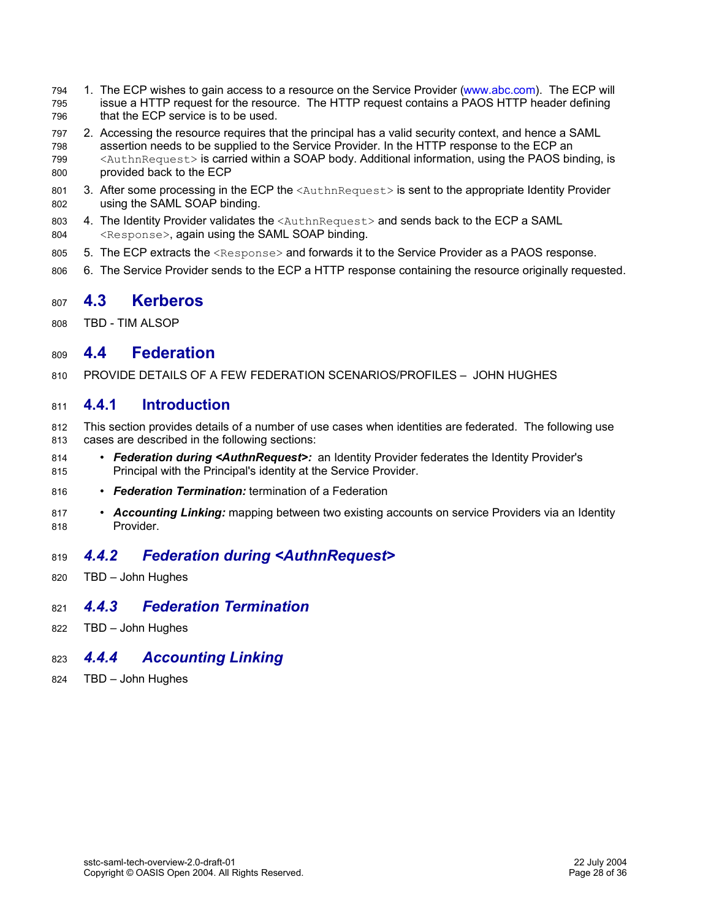- 1. The ECP wishes to gain access to a resource on the Service Provider (www.abc.com). The ECP will issue a HTTP request for the resource. The HTTP request contains a PAOS HTTP header defining that the ECP service is to be used. 794 795 796
- 2. Accessing the resource requires that the principal has a valid security context, and hence a SAML assertion needs to be supplied to the Service Provider. In the HTTP response to the ECP an <AuthnRequest> is carried within a SOAP body. Additional information, using the PAOS binding, is provided back to the ECP 797 798 799 800
- 3. After some processing in the ECP the <AuthnRequest> is sent to the appropriate Identity Provider using the SAML SOAP binding. 801 802
- 4. The Identity Provider validates the <AuthnRequest> and sends back to the ECP a SAML <Response>, again using the SAML SOAP binding. 803 804
- 5. The ECP extracts the <Response> and forwards it to the Service Provider as a PAOS response. 805
- 6. The Service Provider sends to the ECP a HTTP response containing the resource originally requested. 806

#### **4.3 Kerberos** 807

TBD - TIM ALSOP 808

#### **4.4 Federation** 809

PROVIDE DETAILS OF A FEW FEDERATION SCENARIOS/PROFILES – JOHN HUGHES 810

#### **4.4.1 Introduction** 811

- This section provides details of a number of use cases when identities are federated. The following use cases are described in the following sections: 812 813
- **Federation during <AuthnRequest>:** an Identity Provider federates the Identity Provider's Principal with the Principal's identity at the Service Provider. 814 815
- *Federation Termination:* termination of a Federation 816
- *Accounting Linking:* mapping between two existing accounts on service Providers via an Identity Provider. 817 818

#### *4.4.2 Federation during <AuthnRequest>* 819

TBD – John Hughes 820

#### *4.4.3 Federation Termination* 821

TBD – John Hughes 822

#### *4.4.4 Accounting Linking* 823

TBD – John Hughes 824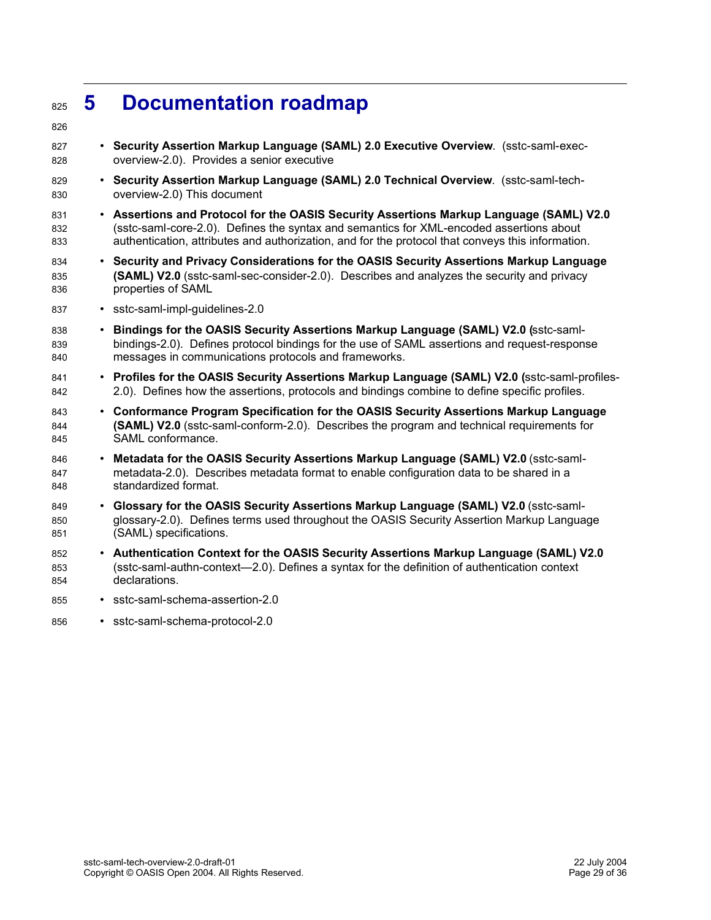## **5 Documentation roadmap** 825

- 826
- **Security Assertion Markup Language (SAML) 2.0 Executive Overview**. (sstc-saml-execoverview-2.0). Provides a senior executive 827 828
- **Security Assertion Markup Language (SAML) 2.0 Technical Overview**. (sstc-saml-techoverview-2.0) This document 829 830
- **Assertions and Protocol for the OASIS Security Assertions Markup Language (SAML) V2.0** (sstc-saml-core-2.0). Defines the syntax and semantics for XML-encoded assertions about authentication, attributes and authorization, and for the protocol that conveys this information. 831 832 833
- **Security and Privacy Considerations for the OASIS Security Assertions Markup Language (SAML) V2.0** (sstc-saml-sec-consider-2.0). Describes and analyzes the security and privacy properties of SAML 834 835 836
- sstc-saml-impl-quidelines-2.0 837
- **Bindings for the OASIS Security Assertions Markup Language (SAML) V2.0 (**sstc-samlbindings-2.0). Defines protocol bindings for the use of SAML assertions and request-response messages in communications protocols and frameworks. 838 839 840
- **Profiles for the OASIS Security Assertions Markup Language (SAML) V2.0 (**sstc-saml-profiles-2.0). Defines how the assertions, protocols and bindings combine to define specific profiles. 841 842
- **Conformance Program Specification for the OASIS Security Assertions Markup Language (SAML) V2.0** (sstc-saml-conform-2.0). Describes the program and technical requirements for SAML conformance. 843 844 845
- **Metadata for the OASIS Security Assertions Markup Language (SAML) V2.0** (sstc-samlmetadata-2.0). Describes metadata format to enable configuration data to be shared in a standardized format. 846 847 848
- **Glossary for the OASIS Security Assertions Markup Language (SAML) V2.0** (sstc-samlglossary-2.0). Defines terms used throughout the OASIS Security Assertion Markup Language (SAML) specifications. 849 850 851
- **Authentication Context for the OASIS Security Assertions Markup Language (SAML) V2.0** (sstc-saml-authn-context—2.0). Defines a syntax for the definition of authentication context declarations. 852 853 854
- sstc-saml-schema-assertion-2.0 855
- sstc-saml-schema-protocol-2.0 856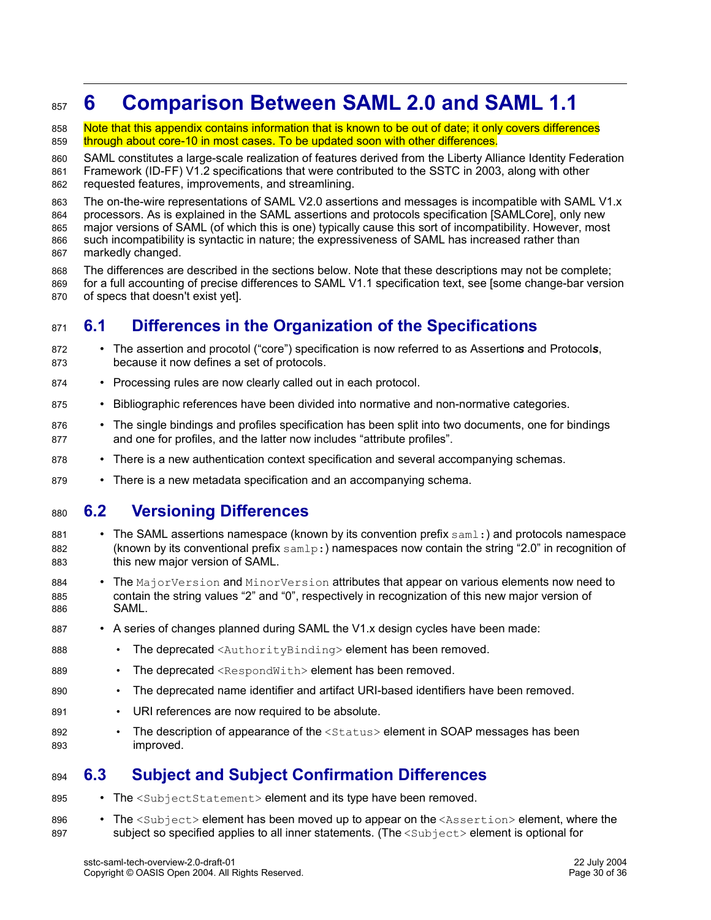## **6 Comparison Between SAML 2.0 and SAML 1.1** 857

- Note that this appendix contains information that is known to be out of date; it only covers differences through about core-10 in most cases. To be updated soon with other differences. 858 859
- SAML constitutes a large-scale realization of features derived from the Liberty Alliance Identity Federation Framework (ID-FF) V1.2 specifications that were contributed to the SSTC in 2003, along with other requested features, improvements, and streamlining. 860 861 862

The on-the-wire representations of SAML V2.0 assertions and messages is incompatible with SAML V1.x processors. As is explained in the SAML assertions and protocols specification [SAMLCore], only new major versions of SAML (of which this is one) typically cause this sort of incompatibility. However, most such incompatibility is syntactic in nature; the expressiveness of SAML has increased rather than markedly changed. 863 864 865 866 867

The differences are described in the sections below. Note that these descriptions may not be complete; for a full accounting of precise differences to SAML V1.1 specification text, see [some change-bar version of specs that doesn't exist yet]. 868 869 870

#### **6.1 Differences in the Organization of the Specifications** 871

- The assertion and procotol ("core") specification is now referred to as Assertion*s* and Protocol*s*, because it now defines a set of protocols. 872 873
- Processing rules are now clearly called out in each protocol. 874
- Bibliographic references have been divided into normative and non-normative categories. 875
- The single bindings and profiles specification has been split into two documents, one for bindings and one for profiles, and the latter now includes "attribute profiles". 876 877
- There is a new authentication context specification and several accompanying schemas. 878
- There is a new metadata specification and an accompanying schema. 879

#### **6.2 Versioning Differences** 880

- The SAML assertions namespace (known by its convention prefix  $sam1$ :) and protocols namespace (known by its conventional prefix  $\text{samlp:)}$  namespaces now contain the string "2.0" in recognition of this new major version of SAML. 881 882 883
- The MajorVersion and MinorVersion attributes that appear on various elements now need to contain the string values "2" and "0", respectively in recognization of this new major version of SAML. 884 885 886
- A series of changes planned during SAML the V1.x design cycles have been made: 887
- The deprecated <AuthorityBinding> element has been removed. 888
- The deprecated <RespondWith> element has been removed. 889
- The deprecated name identifier and artifact URI-based identifiers have been removed. 890
- URI references are now required to be absolute. 891
- The description of appearance of the <status> element in SOAP messages has been improved. 892 893

#### **6.3 Subject and Subject Confirmation Differences** 894

- The <SubjectStatement> element and its type have been removed. 895
- The  $\langle \text{Subject}\rangle$  element has been moved up to appear on the  $\langle \text{Association}\rangle$  element, where the subject so specified applies to all inner statements. (The <Subject> element is optional for 896 897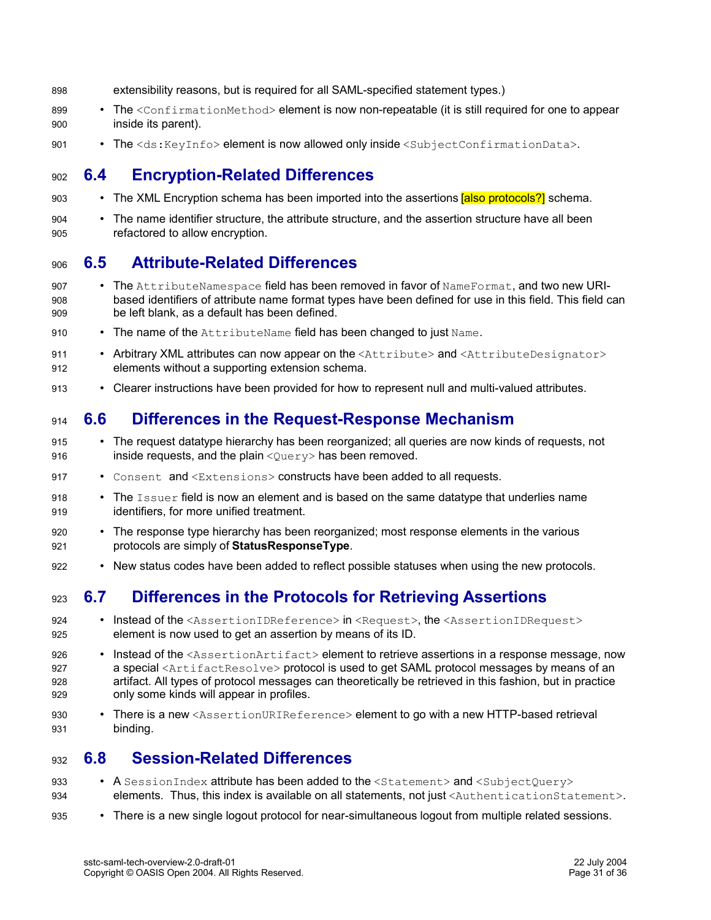- extensibility reasons, but is required for all SAML-specified statement types.) 898
- The <ConfirmationMethod> element is now non-repeatable (it is still required for one to appear inside its parent). 899 900
- The <ds:KeyInfo> element is now allowed only inside <SubjectConfirmationData>. 901

#### **6.4 Encryption-Related Differences** 902

- The XML Encryption schema has been imported into the assertions [also protocols?] schema. 903
- The name identifier structure, the attribute structure, and the assertion structure have all been refactored to allow encryption. 904 905

#### **6.5 Attribute-Related Differences** 906

- The AttributeNamespace field has been removed in favor of NameFormat, and two new URIbased identifiers of attribute name format types have been defined for use in this field. This field can be left blank, as a default has been defined. 907 908 909
- The name of the AttributeName field has been changed to just Name. **910**
- Arbitrary XML attributes can now appear on the <Attribute> and <AttributeDesignator> elements without a supporting extension schema. 911 912
- Clearer instructions have been provided for how to represent null and multi-valued attributes. 913

#### **6.6 Differences in the Request-Response Mechanism** 914

- The request datatype hierarchy has been reorganized; all queries are now kinds of requests, not inside requests, and the plain  $\langle$ Query> has been removed. 915 916
- Consent,  $\mathsf{and} \leq \mathsf{Extensions} >$  constructs have been added to all requests. 917
- The Issuer field is now an element and is based on the same datatype that underlies name identifiers, for more unified treatment. 918 919
- The response type hierarchy has been reorganized; most response elements in the various protocols are simply of **StatusResponseType**. 920 921
- New status codes have been added to reflect possible statuses when using the new protocols. 922

#### **6.7 Differences in the Protocols for Retrieving Assertions** 923

- Instead of the <AssertionIDReference> in <Request>, the <AssertionIDRequest> element is now used to get an assertion by means of its ID. 924 925
- Instead of the <AssertionArtifact> element to retrieve assertions in a response message, now a special <ArtifactResolve> protocol is used to get SAML protocol messages by means of an artifact. All types of protocol messages can theoretically be retrieved in this fashion, but in practice only some kinds will appear in profiles. 926 927 928 929
- There is a new <AssertionURIReference> element to go with a new HTTP-based retrieval binding. 930 931

#### **6.8 Session-Related Differences** 932

- A SessionIndex attribute has been added to the <Statement> and <SubjectOuery> elements. Thus, this index is available on all statements, not just <AuthenticationStatement>. 933 934
- There is a new single logout protocol for near-simultaneous logout from multiple related sessions. 935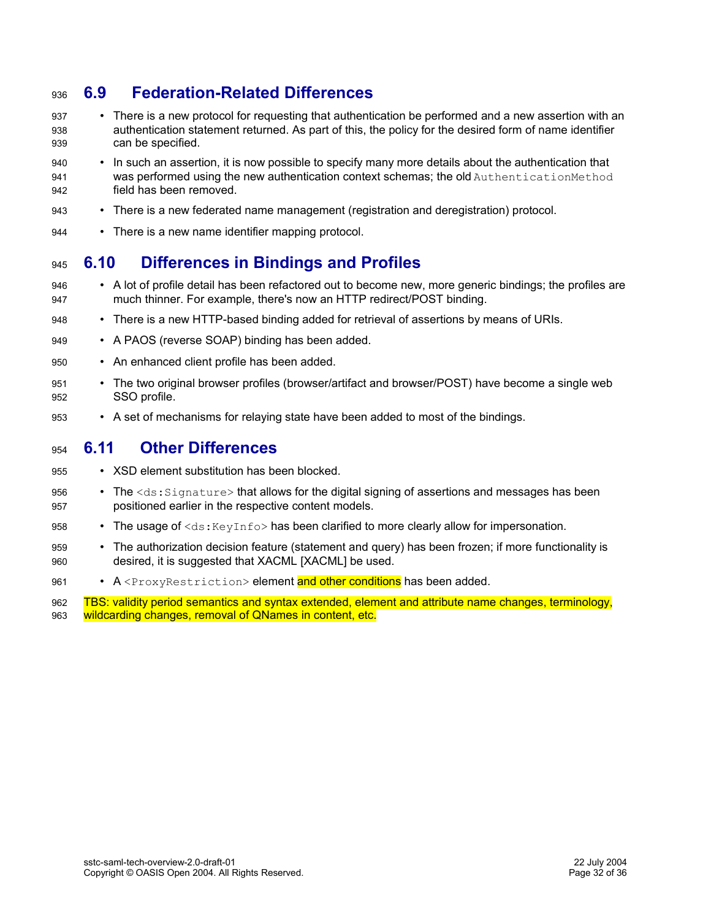#### **6.9 Federation-Related Differences** 936

- There is a new protocol for requesting that authentication be performed and a new assertion with an authentication statement returned. As part of this, the policy for the desired form of name identifier can be specified. 937 938 939
- In such an assertion, it is now possible to specify many more details about the authentication that was performed using the new authentication context schemas; the old AuthenticationMethod field has been removed. 940 **041** 942
- There is a new federated name management (registration and deregistration) protocol. 943
- There is a new name identifier mapping protocol. **944**

#### **6.10 Differences in Bindings and Profiles** 945

- A lot of profile detail has been refactored out to become new, more generic bindings; the profiles are much thinner. For example, there's now an HTTP redirect/POST binding. 946 947
- There is a new HTTP-based binding added for retrieval of assertions by means of URIs. 948
- A PAOS (reverse SOAP) binding has been added. 949
- An enhanced client profile has been added. 950
- The two original browser profiles (browser/artifact and browser/POST) have become a single web SSO profile. 951 952
- A set of mechanisms for relaying state have been added to most of the bindings. 953

#### **6.11 Other Differences** 954

- XSD element substitution has been blocked. 955
- The <ds: Signature> that allows for the digital signing of assertions and messages has been positioned earlier in the respective content models. 956 957
- The usage of  $\langle ds: KeyInfo \rangle$  has been clarified to more clearly allow for impersonation. 958
- The authorization decision feature (statement and query) has been frozen; if more functionality is desired, it is suggested that XACML [XACML] be used. 959 960
- A <ProxyRestriction> element and other conditions has been added. 961

TBS: validity period semantics and syntax extended, element and attribute name changes, terminology, wildcarding changes, removal of QNames in content, etc. 962 963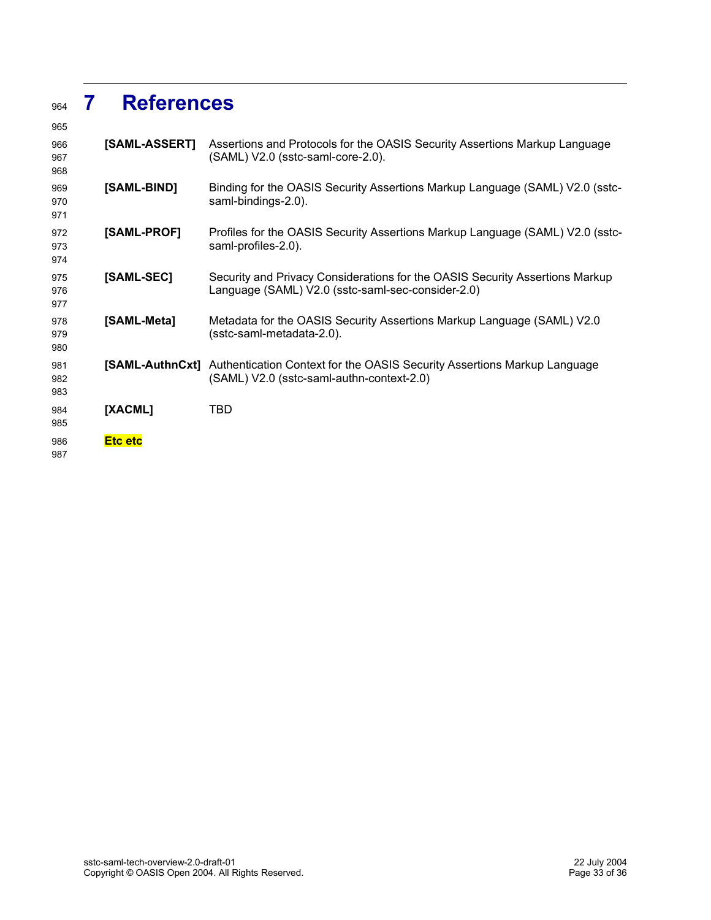## **References**

| 965               |                 |                                                                                                                                   |
|-------------------|-----------------|-----------------------------------------------------------------------------------------------------------------------------------|
| 966<br>967<br>968 | [SAML-ASSERT]   | Assertions and Protocols for the OASIS Security Assertions Markup Language<br>(SAML) V2.0 (sstc-saml-core-2.0).                   |
| 969<br>970<br>971 | [SAML-BIND]     | Binding for the OASIS Security Assertions Markup Language (SAML) V2.0 (sstc-<br>saml-bindings-2.0).                               |
| 972<br>973<br>974 | [SAML-PROF]     | Profiles for the OASIS Security Assertions Markup Language (SAML) V2.0 (sstc-<br>saml-profiles-2.0).                              |
| 975<br>976<br>977 | [SAML-SEC]      | Security and Privacy Considerations for the OASIS Security Assertions Markup<br>Language (SAML) V2.0 (sstc-saml-sec-consider-2.0) |
| 978<br>979<br>980 | [SAML-Meta]     | Metadata for the OASIS Security Assertions Markup Language (SAML) V2.0<br>(sstc-saml-metadata-2.0).                               |
| 981<br>982<br>983 | [SAML-AuthnCxt] | Authentication Context for the OASIS Security Assertions Markup Language<br>(SAML) V2.0 (sstc-saml-authn-context-2.0)             |
| 984<br>985        | [XACML]         | TBD                                                                                                                               |
| 986<br>987        | <b>Etc etc</b>  |                                                                                                                                   |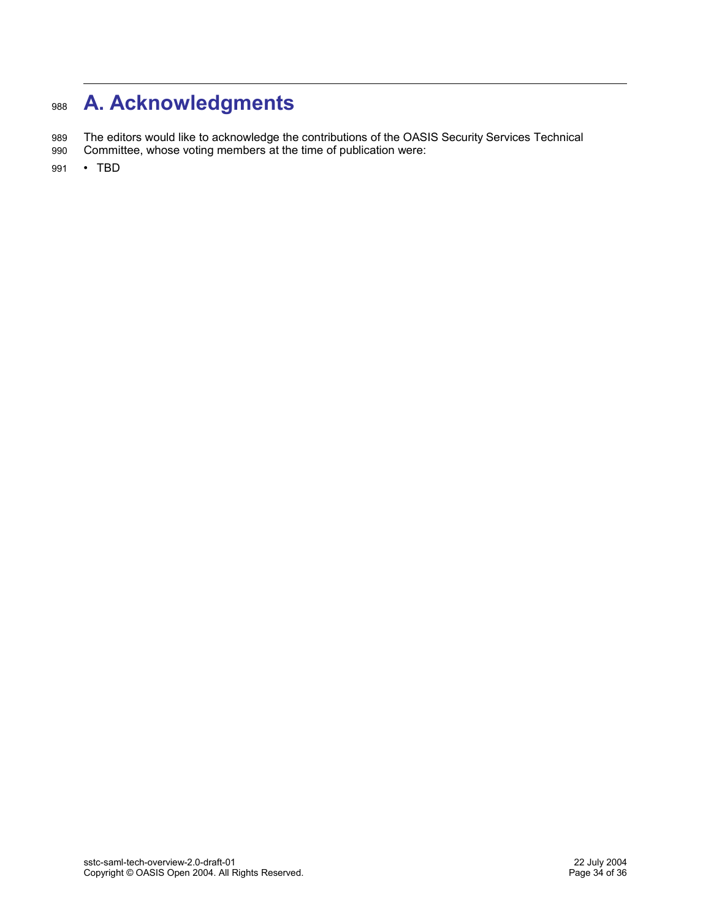## **A. Acknowledgments** 988

The editors would like to acknowledge the contributions of the OASIS Security Services Technical 989

- Committee, whose voting members at the time of publication were: 990
- TBD 991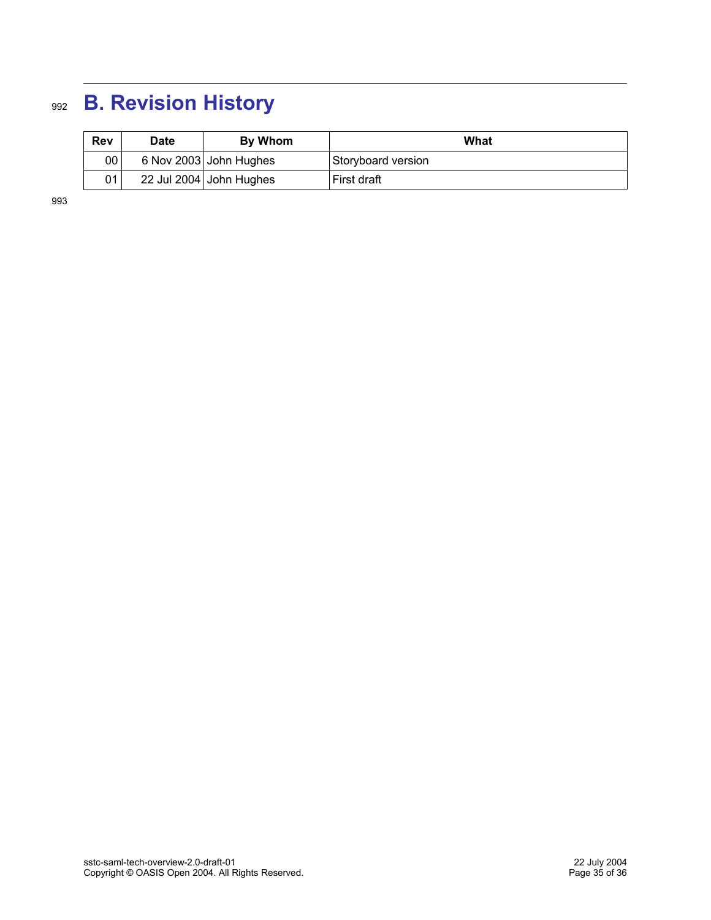## **B. Revision History** 992

| <b>Rev</b> | <b>Date</b> | By Whom                 | What               |
|------------|-------------|-------------------------|--------------------|
| 00         |             | 6 Nov 2003 John Hughes  | Storyboard version |
| 01         |             | 22 Jul 2004 John Hughes | First draft        |

993